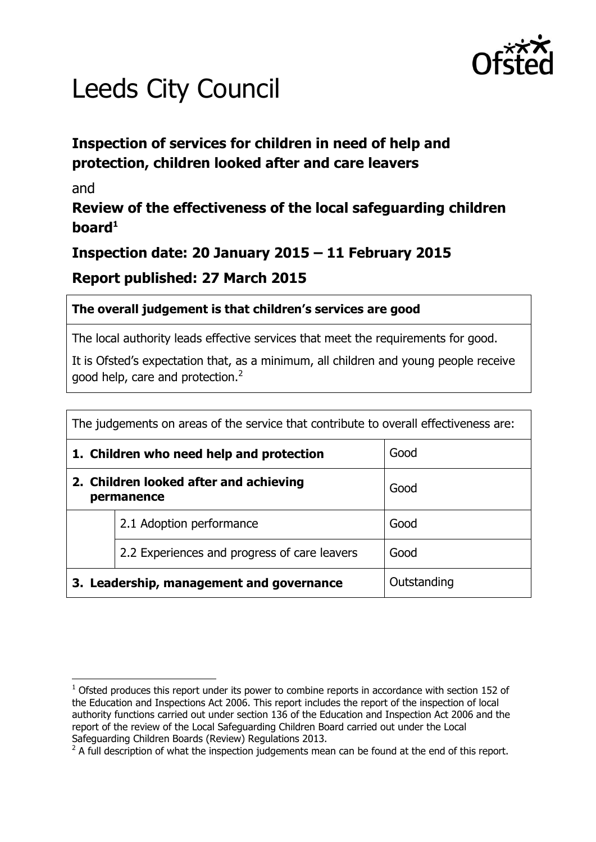

# Leeds City Council

# **Inspection of services for children in need of help and protection, children looked after and care leavers**

#### and

# **Review of the effectiveness of the local safeguarding children board<sup>1</sup>**

# **Inspection date: 20 January 2015 – 11 February 2015**

## **Report published: 27 March 2015**

#### **The overall judgement is that children's services are good**

The local authority leads effective services that meet the requirements for good.

It is Ofsted's expectation that, as a minimum, all children and young people receive good help, care and protection.<sup>2</sup>

| The judgements on areas of the service that contribute to overall effectiveness are: |                                              |             |  |  |
|--------------------------------------------------------------------------------------|----------------------------------------------|-------------|--|--|
| Good<br>1. Children who need help and protection                                     |                                              |             |  |  |
| 2. Children looked after and achieving<br>permanence                                 |                                              | Good        |  |  |
|                                                                                      | 2.1 Adoption performance                     | Good        |  |  |
|                                                                                      | 2.2 Experiences and progress of care leavers | Good        |  |  |
|                                                                                      | 3. Leadership, management and governance     | Outstanding |  |  |

 $\overline{a}$  $1$  Ofsted produces this report under its power to combine reports in accordance with section 152 of the Education and Inspections Act 2006. This report includes the report of the inspection of local authority functions carried out under section 136 of the Education and Inspection Act 2006 and the report of the review of the Local Safeguarding Children Board carried out under the Local Safeguarding Children Boards (Review) Regulations 2013.

 $2$  A full description of what the inspection judgements mean can be found at the end of this report.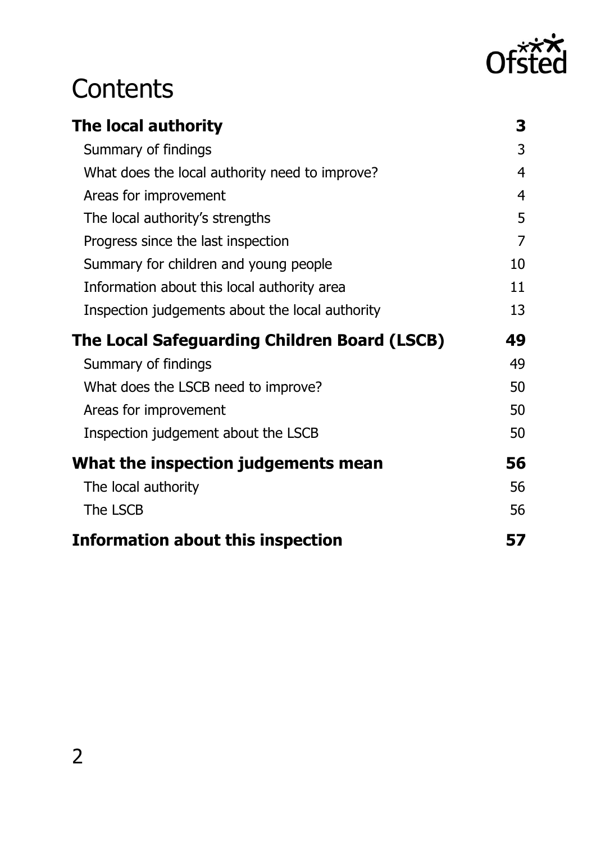

# **Contents**

| The local authority                             | 3  |
|-------------------------------------------------|----|
| Summary of findings                             | 3  |
| What does the local authority need to improve?  | 4  |
| Areas for improvement                           | 4  |
| The local authority's strengths                 | 5  |
| Progress since the last inspection              | 7  |
| Summary for children and young people           | 10 |
| Information about this local authority area     | 11 |
| Inspection judgements about the local authority | 13 |
|                                                 |    |
| The Local Safeguarding Children Board (LSCB)    | 49 |
| Summary of findings                             | 49 |
| What does the LSCB need to improve?             | 50 |
| Areas for improvement                           | 50 |
| Inspection judgement about the LSCB             | 50 |
| What the inspection judgements mean             | 56 |
| The local authority                             | 56 |
| The LSCB                                        | 56 |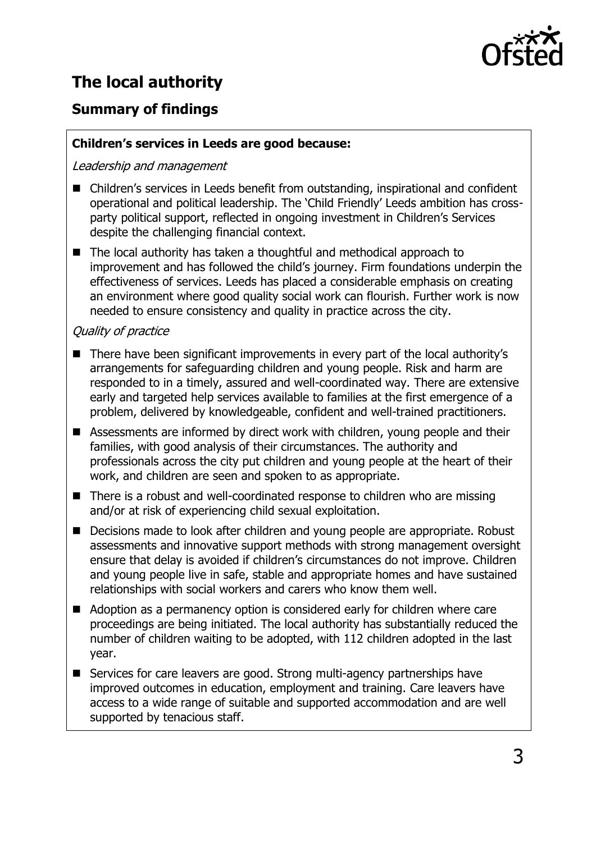

# <span id="page-2-0"></span>**The local authority**

# <span id="page-2-1"></span>**Summary of findings**

#### **Children's services in Leeds are good because:**

Leadership and management

- Children's services in Leeds benefit from outstanding, inspirational and confident operational and political leadership. The 'Child Friendly' Leeds ambition has crossparty political support, reflected in ongoing investment in Children's Services despite the challenging financial context.
- The local authority has taken a thoughtful and methodical approach to improvement and has followed the child's journey. Firm foundations underpin the effectiveness of services. Leeds has placed a considerable emphasis on creating an environment where good quality social work can flourish. Further work is now needed to ensure consistency and quality in practice across the city.

#### Quality of practice

- There have been significant improvements in every part of the local authority's arrangements for safeguarding children and young people. Risk and harm are responded to in a timely, assured and well-coordinated way. There are extensive early and targeted help services available to families at the first emergence of a problem, delivered by knowledgeable, confident and well-trained practitioners.
- Assessments are informed by direct work with children, young people and their families, with good analysis of their circumstances. The authority and professionals across the city put children and young people at the heart of their work, and children are seen and spoken to as appropriate.
- There is a robust and well-coordinated response to children who are missing and/or at risk of experiencing child sexual exploitation.
- Decisions made to look after children and young people are appropriate. Robust assessments and innovative support methods with strong management oversight ensure that delay is avoided if children's circumstances do not improve. Children and young people live in safe, stable and appropriate homes and have sustained relationships with social workers and carers who know them well.
- Adoption as a permanency option is considered early for children where care proceedings are being initiated. The local authority has substantially reduced the number of children waiting to be adopted, with 112 children adopted in the last year.
- Services for care leavers are good. Strong multi-agency partnerships have improved outcomes in education, employment and training. Care leavers have access to a wide range of suitable and supported accommodation and are well supported by tenacious staff.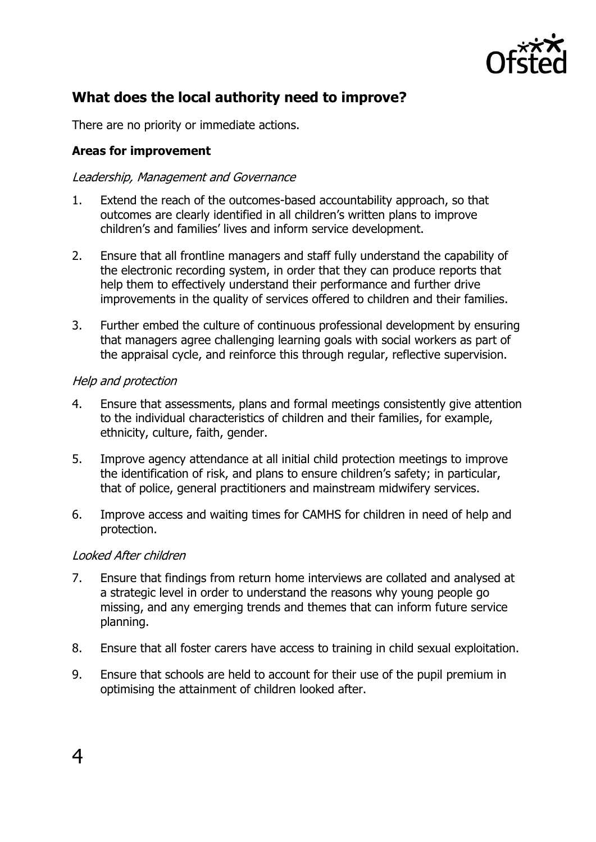

# <span id="page-3-0"></span>**What does the local authority need to improve?**

There are no priority or immediate actions.

#### <span id="page-3-1"></span>**Areas for improvement**

#### Leadership, Management and Governance

- 1. Extend the reach of the outcomes-based accountability approach, so that outcomes are clearly identified in all children's written plans to improve children's and families' lives and inform service development.
- 2. Ensure that all frontline managers and staff fully understand the capability of the electronic recording system, in order that they can produce reports that help them to effectively understand their performance and further drive improvements in the quality of services offered to children and their families.
- 3. Further embed the culture of continuous professional development by ensuring that managers agree challenging learning goals with social workers as part of the appraisal cycle, and reinforce this through regular, reflective supervision.

#### Help and protection

- 4. Ensure that assessments, plans and formal meetings consistently give attention to the individual characteristics of children and their families, for example, ethnicity, culture, faith, gender.
- 5. Improve agency attendance at all initial child protection meetings to improve the identification of risk, and plans to ensure children's safety; in particular, that of police, general practitioners and mainstream midwifery services.
- 6. Improve access and waiting times for CAMHS for children in need of help and protection.

#### Looked After children

- 7. Ensure that findings from return home interviews are collated and analysed at a strategic level in order to understand the reasons why young people go missing, and any emerging trends and themes that can inform future service planning.
- 8. Ensure that all foster carers have access to training in child sexual exploitation.
- 9. Ensure that schools are held to account for their use of the pupil premium in optimising the attainment of children looked after.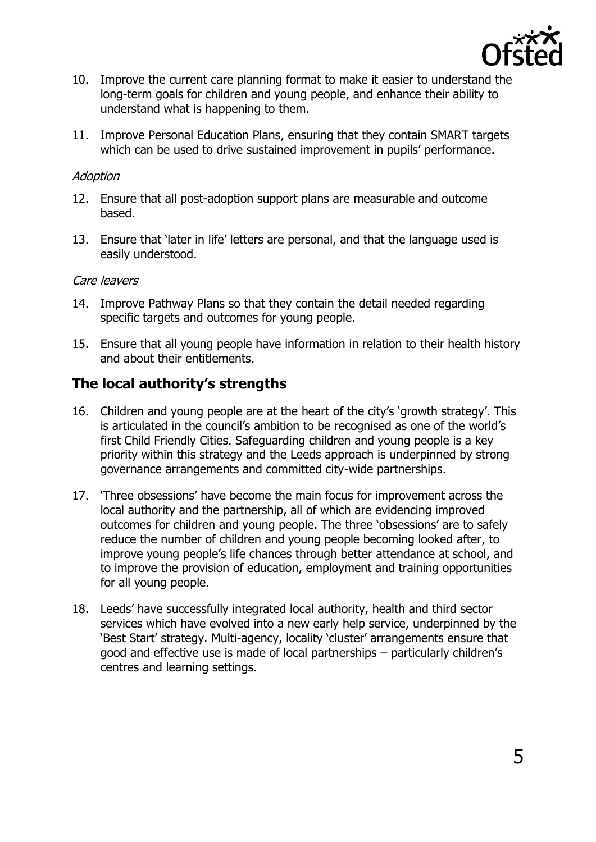

- 10. Improve the current care planning format to make it easier to understand the long-term goals for children and young people, and enhance their ability to understand what is happening to them.
- 11. Improve Personal Education Plans, ensuring that they contain SMART targets which can be used to drive sustained improvement in pupils' performance.

#### Adoption

- 12. Ensure that all post-adoption support plans are measurable and outcome based.
- 13. Ensure that 'later in life' letters are personal, and that the language used is easily understood.

#### Care leavers

- 14. Improve Pathway Plans so that they contain the detail needed regarding specific targets and outcomes for young people.
- 15. Ensure that all young people have information in relation to their health history and about their entitlements.

### <span id="page-4-0"></span>**The local authority's strengths**

- 16. Children and young people are at the heart of the city's 'growth strategy'. This is articulated in the council's ambition to be recognised as one of the world's first Child Friendly Cities. Safeguarding children and young people is a key priority within this strategy and the Leeds approach is underpinned by strong governance arrangements and committed city-wide partnerships.
- 17. 'Three obsessions' have become the main focus for improvement across the local authority and the partnership, all of which are evidencing improved outcomes for children and young people. The three 'obsessions' are to safely reduce the number of children and young people becoming looked after, to improve young people's life chances through better attendance at school, and to improve the provision of education, employment and training opportunities for all young people.
- 18. Leeds' have successfully integrated local authority, health and third sector services which have evolved into a new early help service, underpinned by the 'Best Start' strategy. Multi-agency, locality 'cluster' arrangements ensure that good and effective use is made of local partnerships – particularly children's centres and learning settings.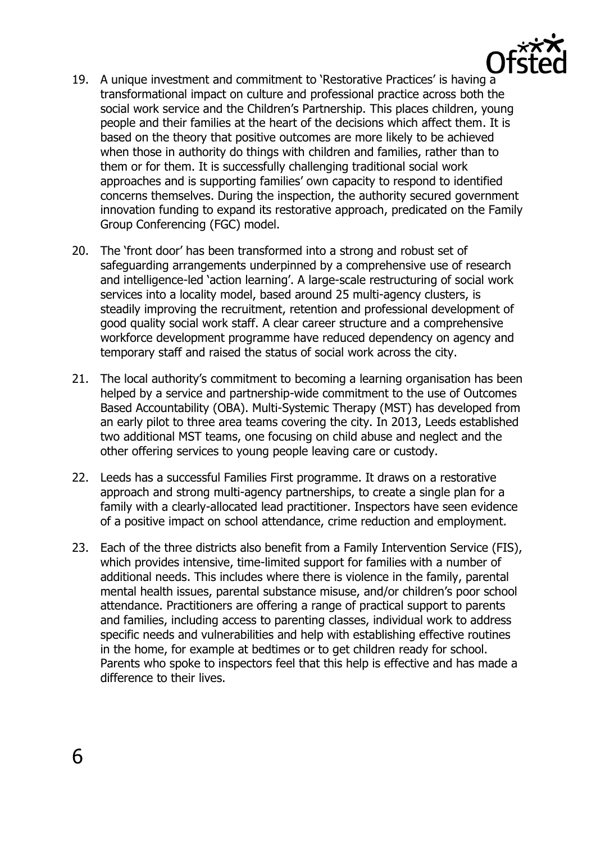

- 19. A unique investment and commitment to 'Restorative Practices' is having a transformational impact on culture and professional practice across both the social work service and the Children's Partnership. This places children, young people and their families at the heart of the decisions which affect them. It is based on the theory that positive outcomes are more likely to be achieved when those in authority do things with children and families, rather than to them or for them. It is successfully challenging traditional social work approaches and is supporting families' own capacity to respond to identified concerns themselves. During the inspection, the authority secured government innovation funding to expand its restorative approach, predicated on the Family Group Conferencing (FGC) model.
- 20. The 'front door' has been transformed into a strong and robust set of safeguarding arrangements underpinned by a comprehensive use of research and intelligence-led 'action learning'. A large-scale restructuring of social work services into a locality model, based around 25 multi-agency clusters, is steadily improving the recruitment, retention and professional development of good quality social work staff. A clear career structure and a comprehensive workforce development programme have reduced dependency on agency and temporary staff and raised the status of social work across the city.
- 21. The local authority's commitment to becoming a learning organisation has been helped by a service and partnership-wide commitment to the use of Outcomes Based Accountability (OBA). Multi-Systemic Therapy (MST) has developed from an early pilot to three area teams covering the city. In 2013, Leeds established two additional MST teams, one focusing on child abuse and neglect and the other offering services to young people leaving care or custody.
- 22. Leeds has a successful Families First programme. It draws on a restorative approach and strong multi-agency partnerships, to create a single plan for a family with a clearly-allocated lead practitioner. Inspectors have seen evidence of a positive impact on school attendance, crime reduction and employment.
- 23. Each of the three districts also benefit from a Family Intervention Service (FIS), which provides intensive, time-limited support for families with a number of additional needs. This includes where there is violence in the family, parental mental health issues, parental substance misuse, and/or children's poor school attendance. Practitioners are offering a range of practical support to parents and families, including access to parenting classes, individual work to address specific needs and vulnerabilities and help with establishing effective routines in the home, for example at bedtimes or to get children ready for school. Parents who spoke to inspectors feel that this help is effective and has made a difference to their lives.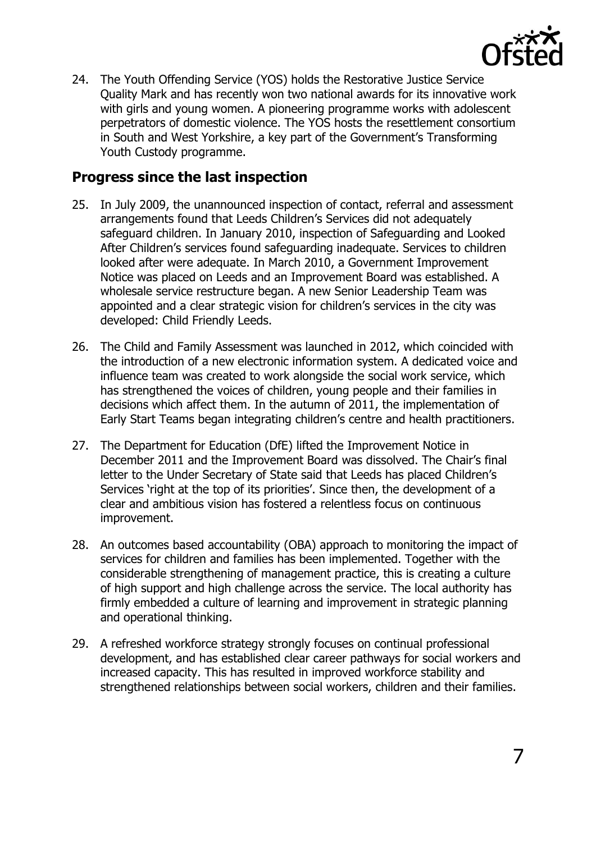

24. The Youth Offending Service (YOS) holds the Restorative Justice Service Quality Mark and has recently won two national awards for its innovative work with girls and young women. A pioneering programme works with adolescent perpetrators of domestic violence. The YOS hosts the resettlement consortium in South and West Yorkshire, a key part of the Government's Transforming Youth Custody programme.

### <span id="page-6-0"></span>**Progress since the last inspection**

- 25. In July 2009, the unannounced inspection of contact, referral and assessment arrangements found that Leeds Children's Services did not adequately safeguard children. In January 2010, inspection of Safeguarding and Looked After Children's services found safeguarding inadequate. Services to children looked after were adequate. In March 2010, a Government Improvement Notice was placed on Leeds and an Improvement Board was established. A wholesale service restructure began. A new Senior Leadership Team was appointed and a clear strategic vision for children's services in the city was developed: Child Friendly Leeds.
- 26. The Child and Family Assessment was launched in 2012, which coincided with the introduction of a new electronic information system. A dedicated voice and influence team was created to work alongside the social work service, which has strengthened the voices of children, young people and their families in decisions which affect them. In the autumn of 2011, the implementation of Early Start Teams began integrating children's centre and health practitioners.
- 27. The Department for Education (DfE) lifted the Improvement Notice in December 2011 and the Improvement Board was dissolved. The Chair's final letter to the Under Secretary of State said that Leeds has placed Children's Services 'right at the top of its priorities'. Since then, the development of a clear and ambitious vision has fostered a relentless focus on continuous improvement.
- 28. An outcomes based accountability (OBA) approach to monitoring the impact of services for children and families has been implemented. Together with the considerable strengthening of management practice, this is creating a culture of high support and high challenge across the service. The local authority has firmly embedded a culture of learning and improvement in strategic planning and operational thinking.
- 29. A refreshed workforce strategy strongly focuses on continual professional development, and has established clear career pathways for social workers and increased capacity. This has resulted in improved workforce stability and strengthened relationships between social workers, children and their families.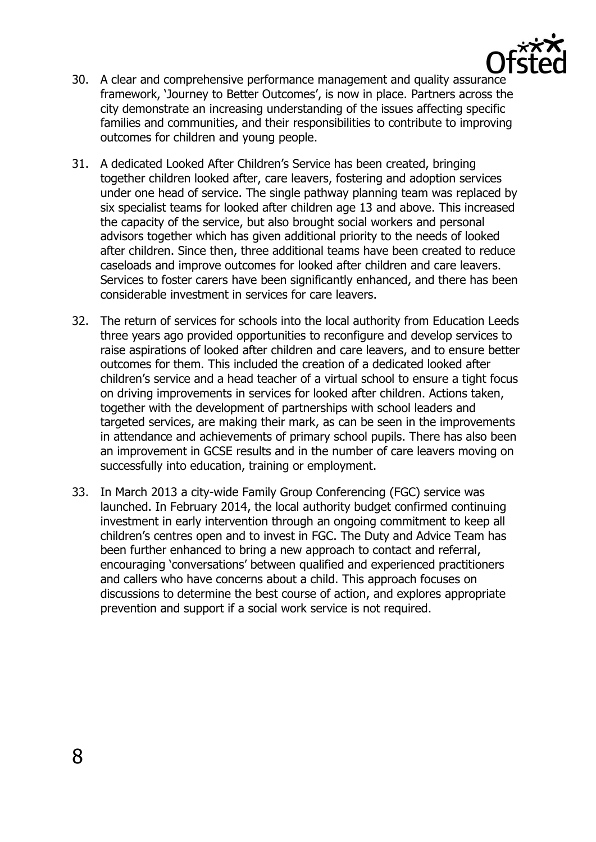

- 30. A clear and comprehensive performance management and quality assurance framework, 'Journey to Better Outcomes', is now in place. Partners across the city demonstrate an increasing understanding of the issues affecting specific families and communities, and their responsibilities to contribute to improving outcomes for children and young people.
- 31. A dedicated Looked After Children's Service has been created, bringing together children looked after, care leavers, fostering and adoption services under one head of service. The single pathway planning team was replaced by six specialist teams for looked after children age 13 and above. This increased the capacity of the service, but also brought social workers and personal advisors together which has given additional priority to the needs of looked after children. Since then, three additional teams have been created to reduce caseloads and improve outcomes for looked after children and care leavers. Services to foster carers have been significantly enhanced, and there has been considerable investment in services for care leavers.
- 32. The return of services for schools into the local authority from Education Leeds three years ago provided opportunities to reconfigure and develop services to raise aspirations of looked after children and care leavers, and to ensure better outcomes for them. This included the creation of a dedicated looked after children's service and a head teacher of a virtual school to ensure a tight focus on driving improvements in services for looked after children. Actions taken, together with the development of partnerships with school leaders and targeted services, are making their mark, as can be seen in the improvements in attendance and achievements of primary school pupils. There has also been an improvement in GCSE results and in the number of care leavers moving on successfully into education, training or employment.
- 33. In March 2013 a city-wide Family Group Conferencing (FGC) service was launched. In February 2014, the local authority budget confirmed continuing investment in early intervention through an ongoing commitment to keep all children's centres open and to invest in FGC. The Duty and Advice Team has been further enhanced to bring a new approach to contact and referral, encouraging 'conversations' between qualified and experienced practitioners and callers who have concerns about a child. This approach focuses on discussions to determine the best course of action, and explores appropriate prevention and support if a social work service is not required.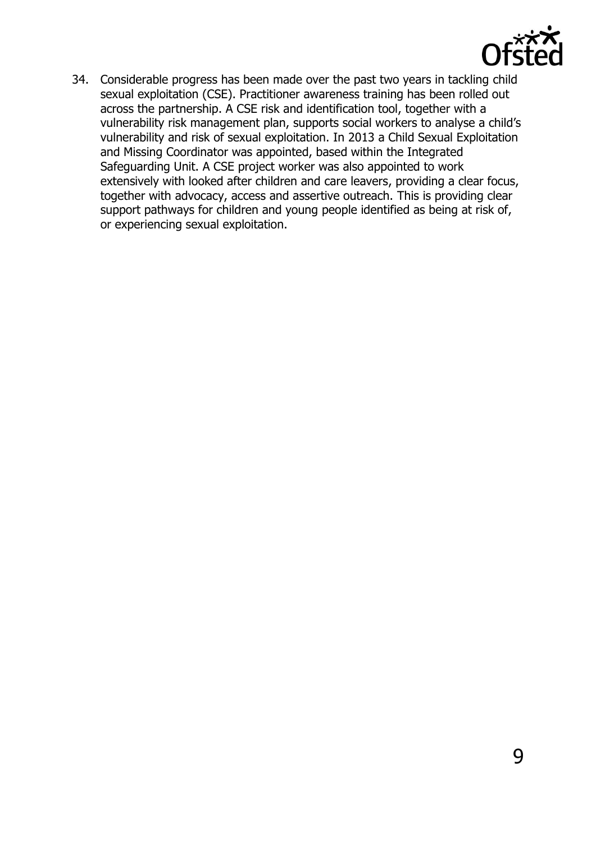

34. Considerable progress has been made over the past two years in tackling child sexual exploitation (CSE). Practitioner awareness training has been rolled out across the partnership. A CSE risk and identification tool, together with a vulnerability risk management plan, supports social workers to analyse a child's vulnerability and risk of sexual exploitation. In 2013 a Child Sexual Exploitation and Missing Coordinator was appointed, based within the Integrated Safeguarding Unit. A CSE project worker was also appointed to work extensively with looked after children and care leavers, providing a clear focus, together with advocacy, access and assertive outreach. This is providing clear support pathways for children and young people identified as being at risk of, or experiencing sexual exploitation.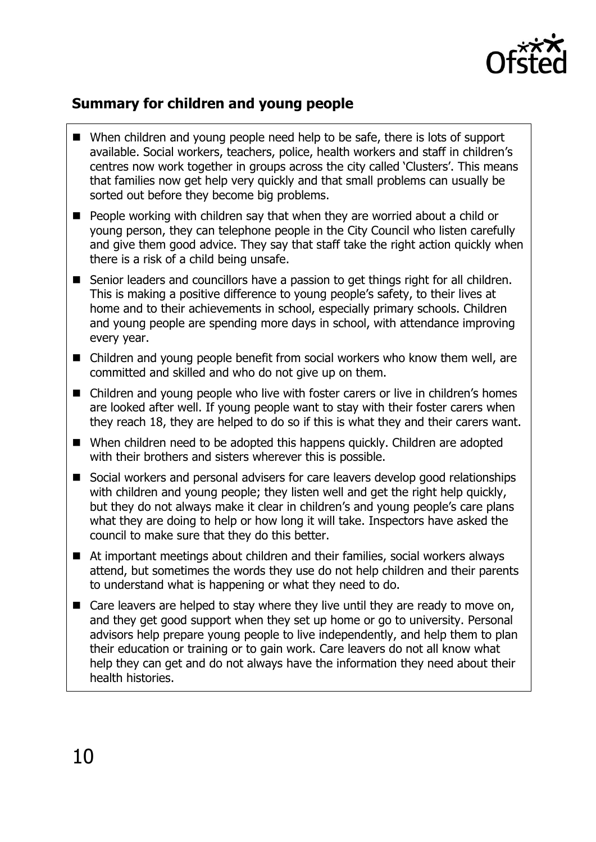

## <span id="page-9-0"></span>**Summary for children and young people**

- When children and young people need help to be safe, there is lots of support available. Social workers, teachers, police, health workers and staff in children's centres now work together in groups across the city called 'Clusters'. This means that families now get help very quickly and that small problems can usually be sorted out before they become big problems.
- **People working with children say that when they are worried about a child or** young person, they can telephone people in the City Council who listen carefully and give them good advice. They say that staff take the right action quickly when there is a risk of a child being unsafe.
- Senior leaders and councillors have a passion to get things right for all children. This is making a positive difference to young people's safety, to their lives at home and to their achievements in school, especially primary schools. Children and young people are spending more days in school, with attendance improving every year.
- Children and young people benefit from social workers who know them well, are committed and skilled and who do not give up on them.
- Children and young people who live with foster carers or live in children's homes are looked after well. If young people want to stay with their foster carers when they reach 18, they are helped to do so if this is what they and their carers want.
- When children need to be adopted this happens quickly. Children are adopted with their brothers and sisters wherever this is possible.
- Social workers and personal advisers for care leavers develop good relationships with children and young people; they listen well and get the right help quickly, but they do not always make it clear in children's and young people's care plans what they are doing to help or how long it will take. Inspectors have asked the council to make sure that they do this better.
- At important meetings about children and their families, social workers always attend, but sometimes the words they use do not help children and their parents to understand what is happening or what they need to do.
- $\blacksquare$  Care leavers are helped to stay where they live until they are ready to move on, and they get good support when they set up home or go to university. Personal advisors help prepare young people to live independently, and help them to plan their education or training or to gain work. Care leavers do not all know what help they can get and do not always have the information they need about their health histories.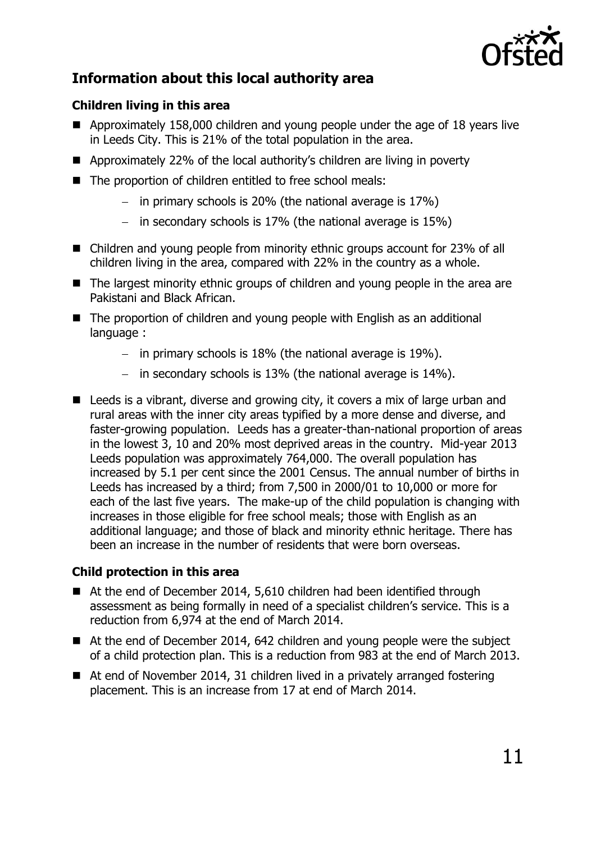

# <span id="page-10-0"></span>**Information about this local authority area**

#### **Children living in this area**

- Approximately 158,000 children and young people under the age of 18 years live in Leeds City. This is 21% of the total population in the area.
- Approximately 22% of the local authority's children are living in poverty
- The proportion of children entitled to free school meals:
	- in primary schools is 20% (the national average is  $17\%$ )
	- in secondary schools is  $17\%$  (the national average is  $15\%$ )
- Children and young people from minority ethnic groups account for 23% of all children living in the area, compared with 22% in the country as a whole.
- The largest minority ethnic groups of children and young people in the area are Pakistani and Black African.
- The proportion of children and young people with English as an additional language :
	- in primary schools is  $18\%$  (the national average is  $19\%$ ).
	- in secondary schools is  $13\%$  (the national average is  $14\%$ ).
- Leeds is a vibrant, diverse and growing city, it covers a mix of large urban and rural areas with the inner city areas typified by a more dense and diverse, and faster-growing population. Leeds has a greater-than-national proportion of areas in the lowest 3, 10 and 20% most deprived areas in the country. Mid-year 2013 Leeds population was approximately 764,000. The overall population has increased by 5.1 per cent since the 2001 Census. The annual number of births in Leeds has increased by a third; from 7,500 in 2000/01 to 10,000 or more for each of the last five years. The make-up of the child population is changing with increases in those eligible for free school meals; those with English as an additional language; and those of black and minority ethnic heritage. There has been an increase in the number of residents that were born overseas.

#### **Child protection in this area**

- At the end of December 2014, 5,610 children had been identified through assessment as being formally in need of a specialist children's service. This is a reduction from 6,974 at the end of March 2014.
- At the end of December 2014, 642 children and young people were the subject of a child protection plan. This is a reduction from 983 at the end of March 2013.
- At end of November 2014, 31 children lived in a privately arranged fostering placement. This is an increase from 17 at end of March 2014.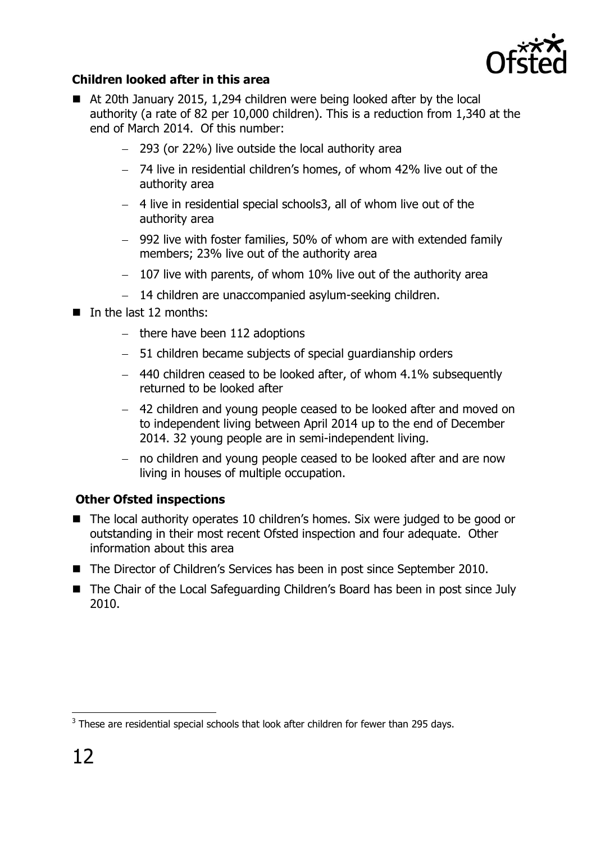

#### **Children looked after in this area**

- At 20th January 2015, 1,294 children were being looked after by the local authority (a rate of 82 per 10,000 children). This is a reduction from 1,340 at the end of March 2014. Of this number:
	- 293 (or 22%) live outside the local authority area
	- 74 live in residential children's homes, of whom 42% live out of the authority area
	- 4 live in residential special schools3, all of whom live out of the authority area
	- 992 live with foster families, 50% of whom are with extended family members; 23% live out of the authority area
	- $-$  107 live with parents, of whom 10% live out of the authority area
	- 14 children are unaccompanied asylum-seeking children.
- $\blacksquare$  In the last 12 months:
	- $-$  there have been 112 adoptions
	- 51 children became subjects of special guardianship orders
	- $-$  440 children ceased to be looked after, of whom 4.1% subsequently returned to be looked after
	- 42 children and young people ceased to be looked after and moved on to independent living between April 2014 up to the end of December 2014. 32 young people are in semi-independent living.
	- no children and young people ceased to be looked after and are now living in houses of multiple occupation.

#### **Other Ofsted inspections**

- The local authority operates 10 children's homes. Six were judged to be good or outstanding in their most recent Ofsted inspection and four adequate. Other information about this area
- The Director of Children's Services has been in post since September 2010.
- The Chair of the Local Safeguarding Children's Board has been in post since July 2010.

 $\overline{a}$ 

 $3$  These are residential special schools that look after children for fewer than 295 days.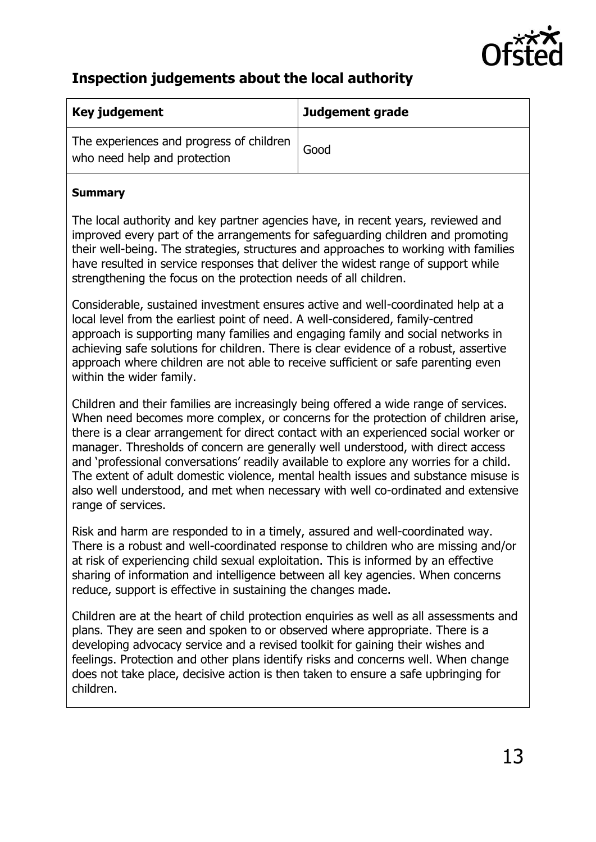

# <span id="page-12-0"></span>**Inspection judgements about the local authority**

| Key judgement                                                            | Judgement grade |
|--------------------------------------------------------------------------|-----------------|
| The experiences and progress of children<br>who need help and protection | Good            |

#### **Summary**

The local authority and key partner agencies have, in recent years, reviewed and improved every part of the arrangements for safeguarding children and promoting their well-being. The strategies, structures and approaches to working with families have resulted in service responses that deliver the widest range of support while strengthening the focus on the protection needs of all children.

Considerable, sustained investment ensures active and well-coordinated help at a local level from the earliest point of need. A well-considered, family-centred approach is supporting many families and engaging family and social networks in achieving safe solutions for children. There is clear evidence of a robust, assertive approach where children are not able to receive sufficient or safe parenting even within the wider family.

Children and their families are increasingly being offered a wide range of services. When need becomes more complex, or concerns for the protection of children arise, there is a clear arrangement for direct contact with an experienced social worker or manager. Thresholds of concern are generally well understood, with direct access and 'professional conversations' readily available to explore any worries for a child. The extent of adult domestic violence, mental health issues and substance misuse is also well understood, and met when necessary with well co-ordinated and extensive range of services.

Risk and harm are responded to in a timely, assured and well-coordinated way. There is a robust and well-coordinated response to children who are missing and/or at risk of experiencing child sexual exploitation. This is informed by an effective sharing of information and intelligence between all key agencies. When concerns reduce, support is effective in sustaining the changes made.

Children are at the heart of child protection enquiries as well as all assessments and plans. They are seen and spoken to or observed where appropriate. There is a developing advocacy service and a revised toolkit for gaining their wishes and feelings. Protection and other plans identify risks and concerns well. When change does not take place, decisive action is then taken to ensure a safe upbringing for children.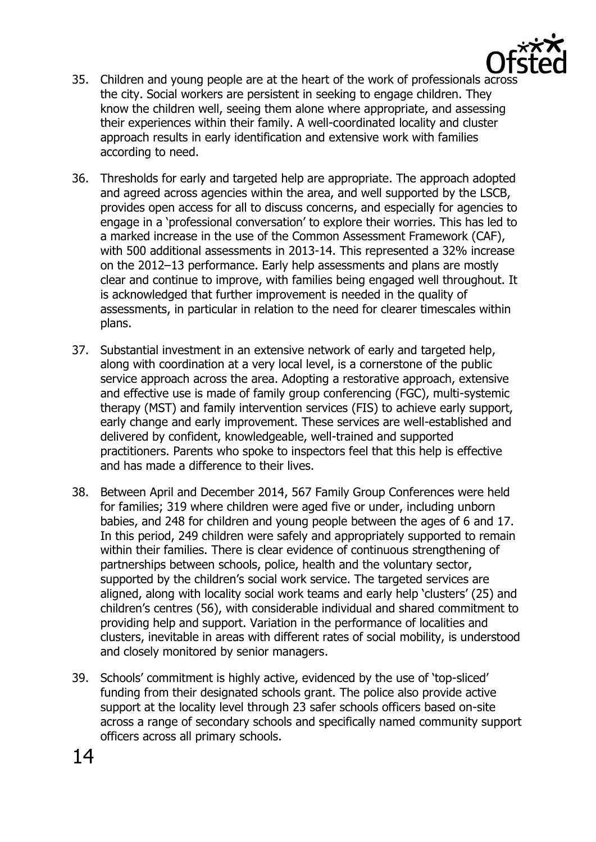

- 35. Children and young people are at the heart of the work of professionals across the city. Social workers are persistent in seeking to engage children. They know the children well, seeing them alone where appropriate, and assessing their experiences within their family. A well-coordinated locality and cluster approach results in early identification and extensive work with families according to need.
- 36. Thresholds for early and targeted help are appropriate. The approach adopted and agreed across agencies within the area, and well supported by the LSCB, provides open access for all to discuss concerns, and especially for agencies to engage in a 'professional conversation' to explore their worries. This has led to a marked increase in the use of the Common Assessment Framework (CAF), with 500 additional assessments in 2013-14. This represented a 32% increase on the 2012–13 performance. Early help assessments and plans are mostly clear and continue to improve, with families being engaged well throughout. It is acknowledged that further improvement is needed in the quality of assessments, in particular in relation to the need for clearer timescales within plans.
- 37. Substantial investment in an extensive network of early and targeted help, along with coordination at a very local level, is a cornerstone of the public service approach across the area. Adopting a restorative approach, extensive and effective use is made of family group conferencing (FGC), multi-systemic therapy (MST) and family intervention services (FIS) to achieve early support, early change and early improvement. These services are well-established and delivered by confident, knowledgeable, well-trained and supported practitioners. Parents who spoke to inspectors feel that this help is effective and has made a difference to their lives.
- 38. Between April and December 2014, 567 Family Group Conferences were held for families; 319 where children were aged five or under, including unborn babies, and 248 for children and young people between the ages of 6 and 17. In this period, 249 children were safely and appropriately supported to remain within their families. There is clear evidence of continuous strengthening of partnerships between schools, police, health and the voluntary sector, supported by the children's social work service. The targeted services are aligned, along with locality social work teams and early help 'clusters' (25) and children's centres (56), with considerable individual and shared commitment to providing help and support. Variation in the performance of localities and clusters, inevitable in areas with different rates of social mobility, is understood and closely monitored by senior managers.
- 39. Schools' commitment is highly active, evidenced by the use of 'top-sliced' funding from their designated schools grant. The police also provide active support at the locality level through 23 safer schools officers based on-site across a range of secondary schools and specifically named community support officers across all primary schools.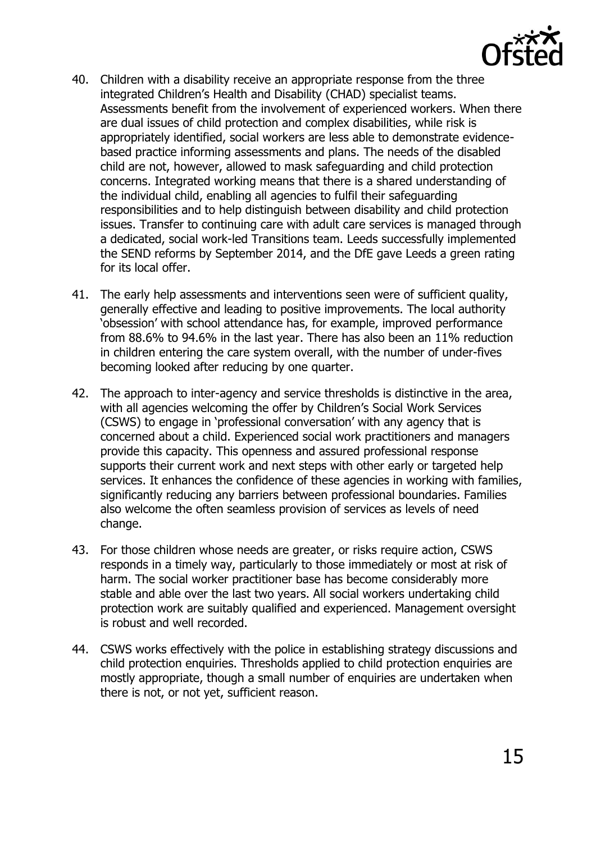

- 40. Children with a disability receive an appropriate response from the three integrated Children's Health and Disability (CHAD) specialist teams. Assessments benefit from the involvement of experienced workers. When there are dual issues of child protection and complex disabilities, while risk is appropriately identified, social workers are less able to demonstrate evidencebased practice informing assessments and plans. The needs of the disabled child are not, however, allowed to mask safeguarding and child protection concerns. Integrated working means that there is a shared understanding of the individual child, enabling all agencies to fulfil their safeguarding responsibilities and to help distinguish between disability and child protection issues. Transfer to continuing care with adult care services is managed through a dedicated, social work-led Transitions team. Leeds successfully implemented the SEND reforms by September 2014, and the DfE gave Leeds a green rating for its local offer.
- 41. The early help assessments and interventions seen were of sufficient quality, generally effective and leading to positive improvements. The local authority 'obsession' with school attendance has, for example, improved performance from 88.6% to 94.6% in the last year. There has also been an 11% reduction in children entering the care system overall, with the number of under-fives becoming looked after reducing by one quarter.
- 42. The approach to inter-agency and service thresholds is distinctive in the area, with all agencies welcoming the offer by Children's Social Work Services (CSWS) to engage in 'professional conversation' with any agency that is concerned about a child. Experienced social work practitioners and managers provide this capacity. This openness and assured professional response supports their current work and next steps with other early or targeted help services. It enhances the confidence of these agencies in working with families, significantly reducing any barriers between professional boundaries. Families also welcome the often seamless provision of services as levels of need change.
- 43. For those children whose needs are greater, or risks require action, CSWS responds in a timely way, particularly to those immediately or most at risk of harm. The social worker practitioner base has become considerably more stable and able over the last two years. All social workers undertaking child protection work are suitably qualified and experienced. Management oversight is robust and well recorded.
- 44. CSWS works effectively with the police in establishing strategy discussions and child protection enquiries. Thresholds applied to child protection enquiries are mostly appropriate, though a small number of enquiries are undertaken when there is not, or not yet, sufficient reason.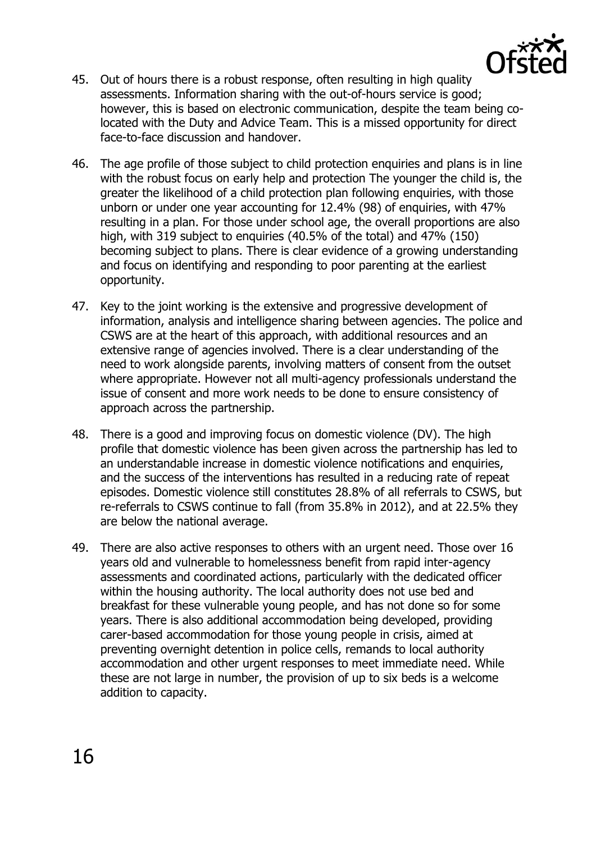

- 45. Out of hours there is a robust response, often resulting in high quality assessments. Information sharing with the out-of-hours service is good; however, this is based on electronic communication, despite the team being colocated with the Duty and Advice Team. This is a missed opportunity for direct face-to-face discussion and handover.
- 46. The age profile of those subject to child protection enquiries and plans is in line with the robust focus on early help and protection The younger the child is, the greater the likelihood of a child protection plan following enquiries, with those unborn or under one year accounting for 12.4% (98) of enquiries, with 47% resulting in a plan. For those under school age, the overall proportions are also high, with 319 subject to enquiries (40.5% of the total) and 47% (150) becoming subject to plans. There is clear evidence of a growing understanding and focus on identifying and responding to poor parenting at the earliest opportunity.
- 47. Key to the joint working is the extensive and progressive development of information, analysis and intelligence sharing between agencies. The police and CSWS are at the heart of this approach, with additional resources and an extensive range of agencies involved. There is a clear understanding of the need to work alongside parents, involving matters of consent from the outset where appropriate. However not all multi-agency professionals understand the issue of consent and more work needs to be done to ensure consistency of approach across the partnership.
- 48. There is a good and improving focus on domestic violence (DV). The high profile that domestic violence has been given across the partnership has led to an understandable increase in domestic violence notifications and enquiries, and the success of the interventions has resulted in a reducing rate of repeat episodes. Domestic violence still constitutes 28.8% of all referrals to CSWS, but re-referrals to CSWS continue to fall (from 35.8% in 2012), and at 22.5% they are below the national average.
- 49. There are also active responses to others with an urgent need. Those over 16 years old and vulnerable to homelessness benefit from rapid inter-agency assessments and coordinated actions, particularly with the dedicated officer within the housing authority. The local authority does not use bed and breakfast for these vulnerable young people, and has not done so for some years. There is also additional accommodation being developed, providing carer-based accommodation for those young people in crisis, aimed at preventing overnight detention in police cells, remands to local authority accommodation and other urgent responses to meet immediate need. While these are not large in number, the provision of up to six beds is a welcome addition to capacity.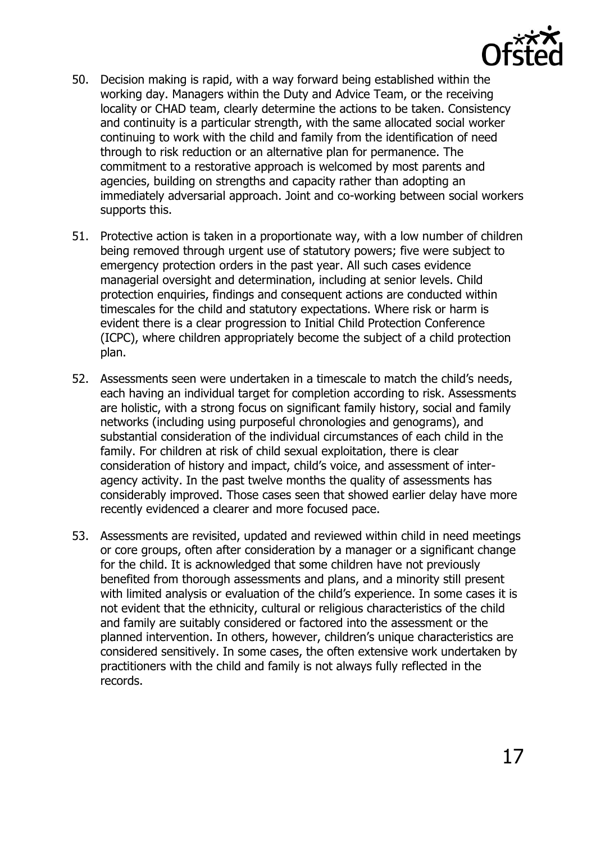

- 50. Decision making is rapid, with a way forward being established within the working day. Managers within the Duty and Advice Team, or the receiving locality or CHAD team, clearly determine the actions to be taken. Consistency and continuity is a particular strength, with the same allocated social worker continuing to work with the child and family from the identification of need through to risk reduction or an alternative plan for permanence. The commitment to a restorative approach is welcomed by most parents and agencies, building on strengths and capacity rather than adopting an immediately adversarial approach. Joint and co-working between social workers supports this.
- 51. Protective action is taken in a proportionate way, with a low number of children being removed through urgent use of statutory powers; five were subject to emergency protection orders in the past year. All such cases evidence managerial oversight and determination, including at senior levels. Child protection enquiries, findings and consequent actions are conducted within timescales for the child and statutory expectations. Where risk or harm is evident there is a clear progression to Initial Child Protection Conference (ICPC), where children appropriately become the subject of a child protection plan.
- 52. Assessments seen were undertaken in a timescale to match the child's needs, each having an individual target for completion according to risk. Assessments are holistic, with a strong focus on significant family history, social and family networks (including using purposeful chronologies and genograms), and substantial consideration of the individual circumstances of each child in the family. For children at risk of child sexual exploitation, there is clear consideration of history and impact, child's voice, and assessment of interagency activity. In the past twelve months the quality of assessments has considerably improved. Those cases seen that showed earlier delay have more recently evidenced a clearer and more focused pace.
- 53. Assessments are revisited, updated and reviewed within child in need meetings or core groups, often after consideration by a manager or a significant change for the child. It is acknowledged that some children have not previously benefited from thorough assessments and plans, and a minority still present with limited analysis or evaluation of the child's experience. In some cases it is not evident that the ethnicity, cultural or religious characteristics of the child and family are suitably considered or factored into the assessment or the planned intervention. In others, however, children's unique characteristics are considered sensitively. In some cases, the often extensive work undertaken by practitioners with the child and family is not always fully reflected in the records.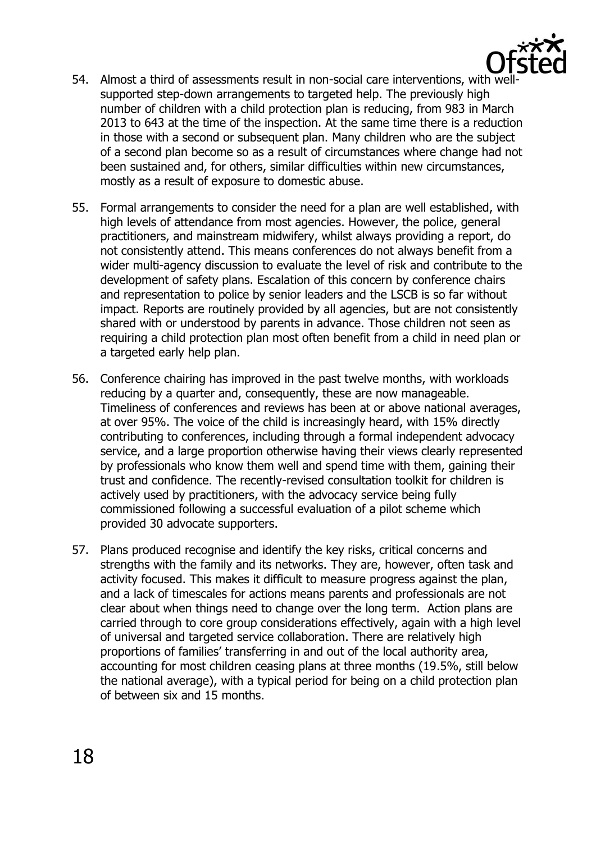

- 54. Almost a third of assessments result in non-social care interventions, with wellsupported step-down arrangements to targeted help. The previously high number of children with a child protection plan is reducing, from 983 in March 2013 to 643 at the time of the inspection. At the same time there is a reduction in those with a second or subsequent plan. Many children who are the subject of a second plan become so as a result of circumstances where change had not been sustained and, for others, similar difficulties within new circumstances, mostly as a result of exposure to domestic abuse.
- 55. Formal arrangements to consider the need for a plan are well established, with high levels of attendance from most agencies. However, the police, general practitioners, and mainstream midwifery, whilst always providing a report, do not consistently attend. This means conferences do not always benefit from a wider multi-agency discussion to evaluate the level of risk and contribute to the development of safety plans. Escalation of this concern by conference chairs and representation to police by senior leaders and the LSCB is so far without impact. Reports are routinely provided by all agencies, but are not consistently shared with or understood by parents in advance. Those children not seen as requiring a child protection plan most often benefit from a child in need plan or a targeted early help plan.
- 56. Conference chairing has improved in the past twelve months, with workloads reducing by a quarter and, consequently, these are now manageable. Timeliness of conferences and reviews has been at or above national averages, at over 95%. The voice of the child is increasingly heard, with 15% directly contributing to conferences, including through a formal independent advocacy service, and a large proportion otherwise having their views clearly represented by professionals who know them well and spend time with them, gaining their trust and confidence. The recently-revised consultation toolkit for children is actively used by practitioners, with the advocacy service being fully commissioned following a successful evaluation of a pilot scheme which provided 30 advocate supporters.
- 57. Plans produced recognise and identify the key risks, critical concerns and strengths with the family and its networks. They are, however, often task and activity focused. This makes it difficult to measure progress against the plan, and a lack of timescales for actions means parents and professionals are not clear about when things need to change over the long term. Action plans are carried through to core group considerations effectively, again with a high level of universal and targeted service collaboration. There are relatively high proportions of families' transferring in and out of the local authority area, accounting for most children ceasing plans at three months (19.5%, still below the national average), with a typical period for being on a child protection plan of between six and 15 months.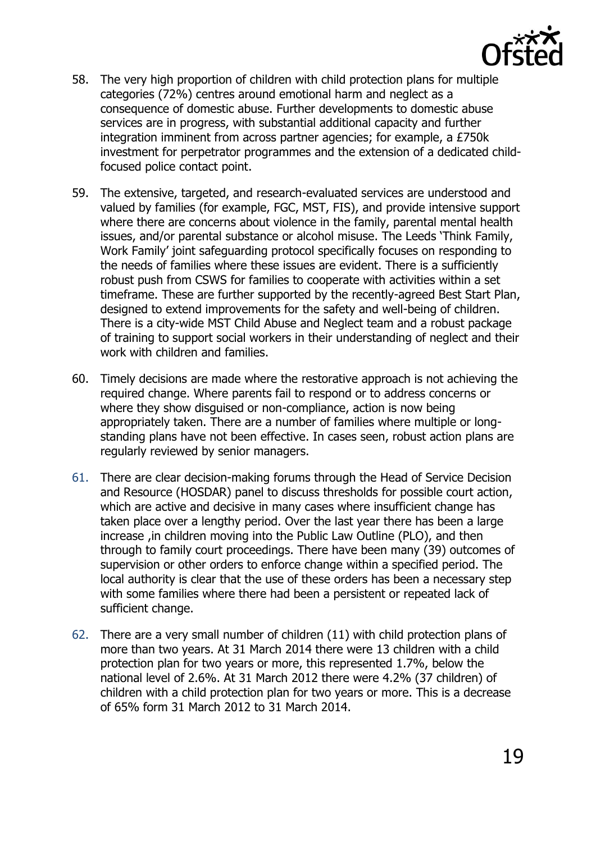

- 58. The very high proportion of children with child protection plans for multiple categories (72%) centres around emotional harm and neglect as a consequence of domestic abuse. Further developments to domestic abuse services are in progress, with substantial additional capacity and further integration imminent from across partner agencies; for example, a £750k investment for perpetrator programmes and the extension of a dedicated childfocused police contact point.
- 59. The extensive, targeted, and research-evaluated services are understood and valued by families (for example, FGC, MST, FIS), and provide intensive support where there are concerns about violence in the family, parental mental health issues, and/or parental substance or alcohol misuse. The Leeds 'Think Family, Work Family' joint safeguarding protocol specifically focuses on responding to the needs of families where these issues are evident. There is a sufficiently robust push from CSWS for families to cooperate with activities within a set timeframe. These are further supported by the recently-agreed Best Start Plan, designed to extend improvements for the safety and well-being of children. There is a city-wide MST Child Abuse and Neglect team and a robust package of training to support social workers in their understanding of neglect and their work with children and families.
- 60. Timely decisions are made where the restorative approach is not achieving the required change. Where parents fail to respond or to address concerns or where they show disguised or non-compliance, action is now being appropriately taken. There are a number of families where multiple or longstanding plans have not been effective. In cases seen, robust action plans are regularly reviewed by senior managers.
- 61. There are clear decision-making forums through the Head of Service Decision and Resource (HOSDAR) panel to discuss thresholds for possible court action, which are active and decisive in many cases where insufficient change has taken place over a lengthy period. Over the last year there has been a large increase ,in children moving into the Public Law Outline (PLO), and then through to family court proceedings. There have been many (39) outcomes of supervision or other orders to enforce change within a specified period. The local authority is clear that the use of these orders has been a necessary step with some families where there had been a persistent or repeated lack of sufficient change.
- 62. There are a very small number of children (11) with child protection plans of more than two years. At 31 March 2014 there were 13 children with a child protection plan for two years or more, this represented 1.7%, below the national level of 2.6%. At 31 March 2012 there were 4.2% (37 children) of children with a child protection plan for two years or more. This is a decrease of 65% form 31 March 2012 to 31 March 2014.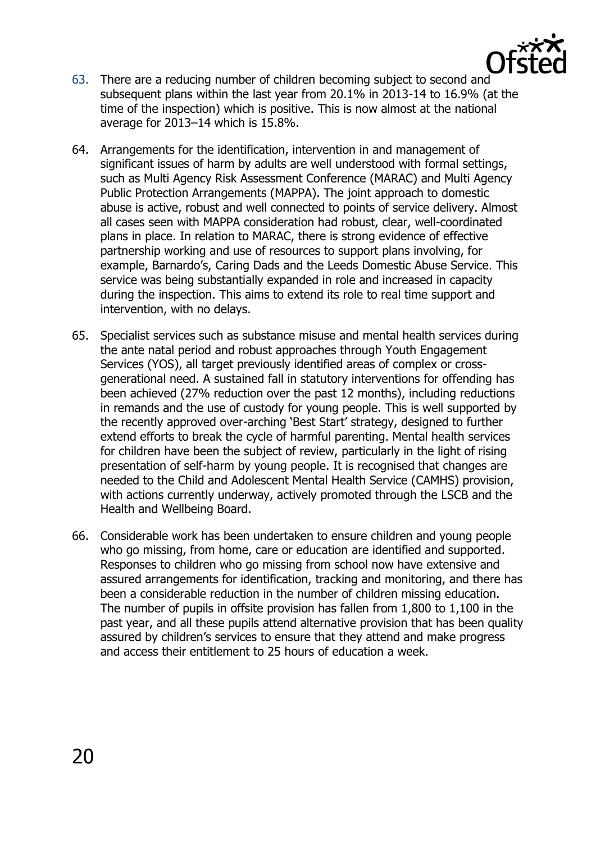

- 63. There are a reducing number of children becoming subject to second and subsequent plans within the last year from 20.1% in 2013-14 to 16.9% (at the time of the inspection) which is positive. This is now almost at the national average for 2013–14 which is 15.8%.
- 64. Arrangements for the identification, intervention in and management of significant issues of harm by adults are well understood with formal settings, such as Multi Agency Risk Assessment Conference (MARAC) and Multi Agency Public Protection Arrangements (MAPPA). The joint approach to domestic abuse is active, robust and well connected to points of service delivery. Almost all cases seen with MAPPA consideration had robust, clear, well-coordinated plans in place. In relation to MARAC, there is strong evidence of effective partnership working and use of resources to support plans involving, for example, Barnardo's, Caring Dads and the Leeds Domestic Abuse Service. This service was being substantially expanded in role and increased in capacity during the inspection. This aims to extend its role to real time support and intervention, with no delays.
- 65. Specialist services such as substance misuse and mental health services during the ante natal period and robust approaches through Youth Engagement Services (YOS), all target previously identified areas of complex or crossgenerational need. A sustained fall in statutory interventions for offending has been achieved (27% reduction over the past 12 months), including reductions in remands and the use of custody for young people. This is well supported by the recently approved over-arching 'Best Start' strategy, designed to further extend efforts to break the cycle of harmful parenting. Mental health services for children have been the subject of review, particularly in the light of rising presentation of self-harm by young people. It is recognised that changes are needed to the Child and Adolescent Mental Health Service (CAMHS) provision, with actions currently underway, actively promoted through the LSCB and the Health and Wellbeing Board.
- 66. Considerable work has been undertaken to ensure children and young people who go missing, from home, care or education are identified and supported. Responses to children who go missing from school now have extensive and assured arrangements for identification, tracking and monitoring, and there has been a considerable reduction in the number of children missing education. The number of pupils in offsite provision has fallen from 1,800 to 1,100 in the past year, and all these pupils attend alternative provision that has been quality assured by children's services to ensure that they attend and make progress and access their entitlement to 25 hours of education a week.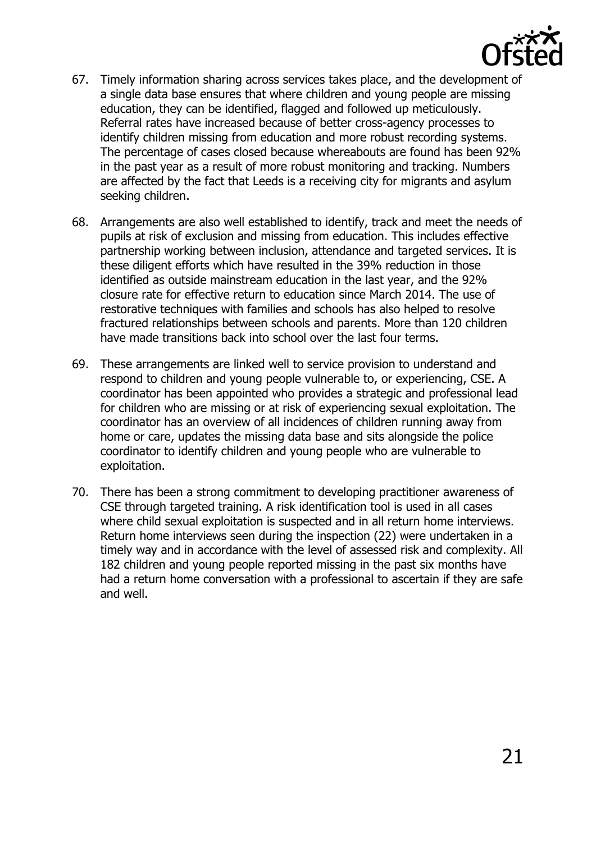

- 67. Timely information sharing across services takes place, and the development of a single data base ensures that where children and young people are missing education, they can be identified, flagged and followed up meticulously. Referral rates have increased because of better cross-agency processes to identify children missing from education and more robust recording systems. The percentage of cases closed because whereabouts are found has been 92% in the past year as a result of more robust monitoring and tracking. Numbers are affected by the fact that Leeds is a receiving city for migrants and asylum seeking children.
- 68. Arrangements are also well established to identify, track and meet the needs of pupils at risk of exclusion and missing from education. This includes effective partnership working between inclusion, attendance and targeted services. It is these diligent efforts which have resulted in the 39% reduction in those identified as outside mainstream education in the last year, and the 92% closure rate for effective return to education since March 2014. The use of restorative techniques with families and schools has also helped to resolve fractured relationships between schools and parents. More than 120 children have made transitions back into school over the last four terms.
- 69. These arrangements are linked well to service provision to understand and respond to children and young people vulnerable to, or experiencing, CSE. A coordinator has been appointed who provides a strategic and professional lead for children who are missing or at risk of experiencing sexual exploitation. The coordinator has an overview of all incidences of children running away from home or care, updates the missing data base and sits alongside the police coordinator to identify children and young people who are vulnerable to exploitation.
- 70. There has been a strong commitment to developing practitioner awareness of CSE through targeted training. A risk identification tool is used in all cases where child sexual exploitation is suspected and in all return home interviews. Return home interviews seen during the inspection (22) were undertaken in a timely way and in accordance with the level of assessed risk and complexity. All 182 children and young people reported missing in the past six months have had a return home conversation with a professional to ascertain if they are safe and well.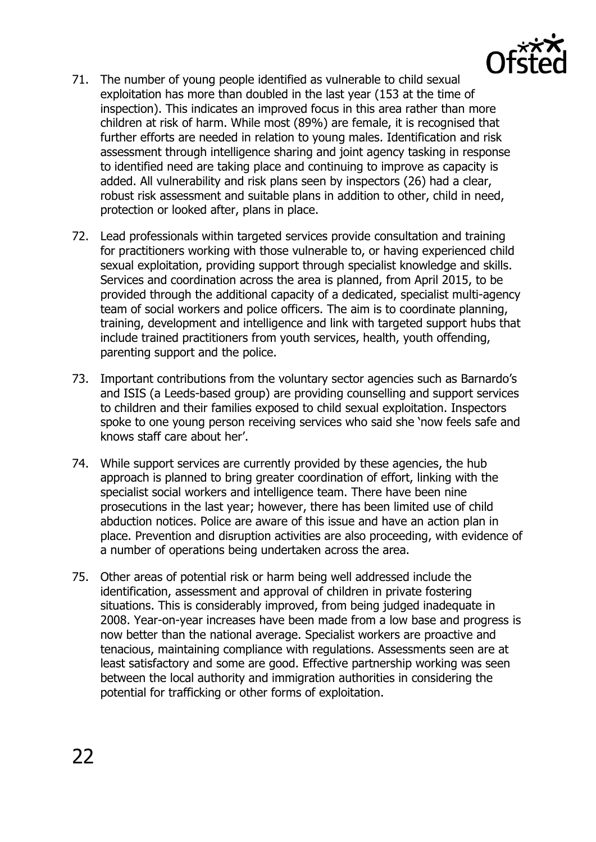

- 71. The number of young people identified as vulnerable to child sexual exploitation has more than doubled in the last year (153 at the time of inspection). This indicates an improved focus in this area rather than more children at risk of harm. While most (89%) are female, it is recognised that further efforts are needed in relation to young males. Identification and risk assessment through intelligence sharing and joint agency tasking in response to identified need are taking place and continuing to improve as capacity is added. All vulnerability and risk plans seen by inspectors (26) had a clear, robust risk assessment and suitable plans in addition to other, child in need, protection or looked after, plans in place.
- 72. Lead professionals within targeted services provide consultation and training for practitioners working with those vulnerable to, or having experienced child sexual exploitation, providing support through specialist knowledge and skills. Services and coordination across the area is planned, from April 2015, to be provided through the additional capacity of a dedicated, specialist multi-agency team of social workers and police officers. The aim is to coordinate planning, training, development and intelligence and link with targeted support hubs that include trained practitioners from youth services, health, youth offending, parenting support and the police.
- 73. Important contributions from the voluntary sector agencies such as Barnardo's and ISIS (a Leeds-based group) are providing counselling and support services to children and their families exposed to child sexual exploitation. Inspectors spoke to one young person receiving services who said she 'now feels safe and knows staff care about her'.
- 74. While support services are currently provided by these agencies, the hub approach is planned to bring greater coordination of effort, linking with the specialist social workers and intelligence team. There have been nine prosecutions in the last year; however, there has been limited use of child abduction notices. Police are aware of this issue and have an action plan in place. Prevention and disruption activities are also proceeding, with evidence of a number of operations being undertaken across the area.
- 75. Other areas of potential risk or harm being well addressed include the identification, assessment and approval of children in private fostering situations. This is considerably improved, from being judged inadequate in 2008. Year-on-year increases have been made from a low base and progress is now better than the national average. Specialist workers are proactive and tenacious, maintaining compliance with regulations. Assessments seen are at least satisfactory and some are good. Effective partnership working was seen between the local authority and immigration authorities in considering the potential for trafficking or other forms of exploitation.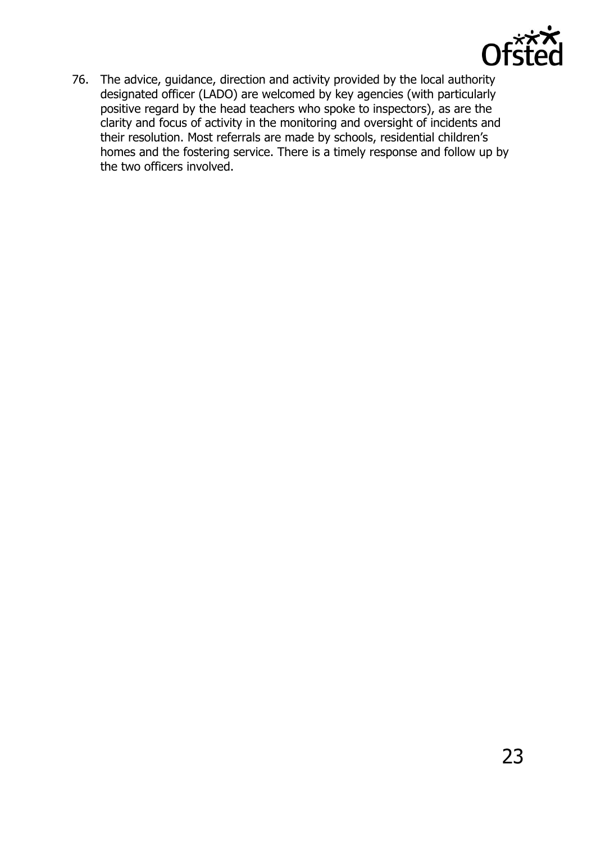

76. The advice, guidance, direction and activity provided by the local authority designated officer (LADO) are welcomed by key agencies (with particularly positive regard by the head teachers who spoke to inspectors), as are the clarity and focus of activity in the monitoring and oversight of incidents and their resolution. Most referrals are made by schools, residential children's homes and the fostering service. There is a timely response and follow up by the two officers involved.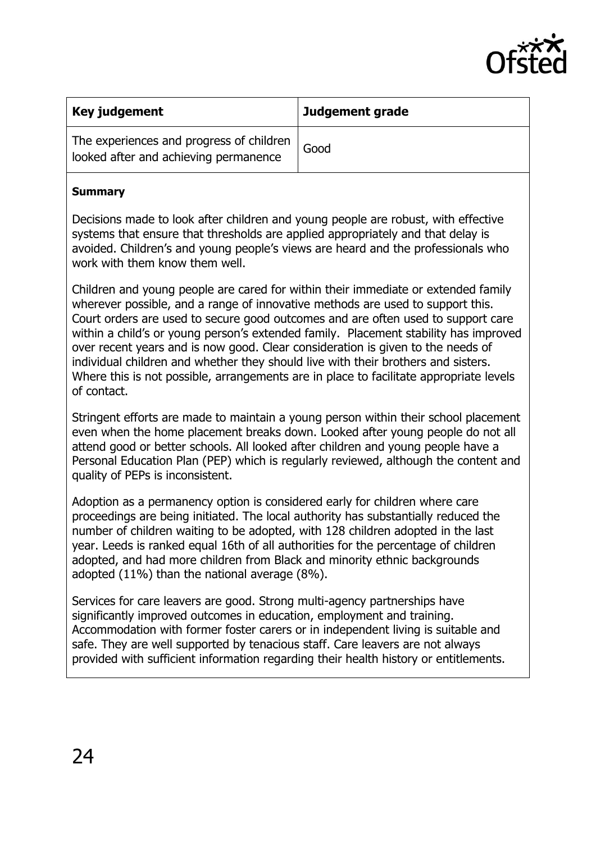

| Key judgement                                                                     | Judgement grade |
|-----------------------------------------------------------------------------------|-----------------|
| The experiences and progress of children<br>looked after and achieving permanence | Good            |

#### **Summary**

Decisions made to look after children and young people are robust, with effective systems that ensure that thresholds are applied appropriately and that delay is avoided. Children's and young people's views are heard and the professionals who work with them know them well.

Children and young people are cared for within their immediate or extended family wherever possible, and a range of innovative methods are used to support this. Court orders are used to secure good outcomes and are often used to support care within a child's or young person's extended family. Placement stability has improved over recent years and is now good. Clear consideration is given to the needs of individual children and whether they should live with their brothers and sisters. Where this is not possible, arrangements are in place to facilitate appropriate levels of contact.

Stringent efforts are made to maintain a young person within their school placement even when the home placement breaks down. Looked after young people do not all attend good or better schools. All looked after children and young people have a Personal Education Plan (PEP) which is regularly reviewed, although the content and quality of PEPs is inconsistent.

Adoption as a permanency option is considered early for children where care proceedings are being initiated. The local authority has substantially reduced the number of children waiting to be adopted, with 128 children adopted in the last year. Leeds is ranked equal 16th of all authorities for the percentage of children adopted, and had more children from Black and minority ethnic backgrounds adopted (11%) than the national average (8%).

Services for care leavers are good. Strong multi-agency partnerships have significantly improved outcomes in education, employment and training. Accommodation with former foster carers or in independent living is suitable and safe. They are well supported by tenacious staff. Care leavers are not always provided with sufficient information regarding their health history or entitlements.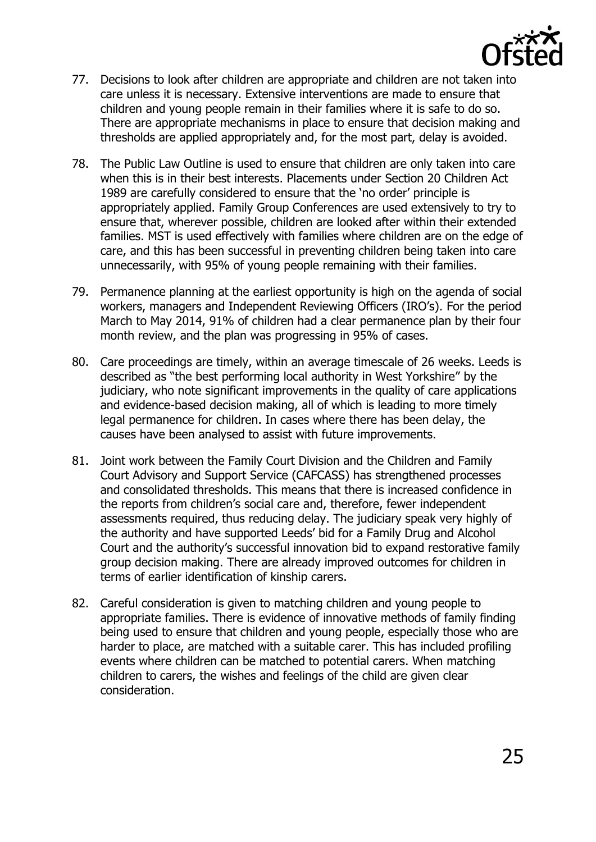

- 77. Decisions to look after children are appropriate and children are not taken into care unless it is necessary. Extensive interventions are made to ensure that children and young people remain in their families where it is safe to do so. There are appropriate mechanisms in place to ensure that decision making and thresholds are applied appropriately and, for the most part, delay is avoided.
- 78. The Public Law Outline is used to ensure that children are only taken into care when this is in their best interests. Placements under Section 20 Children Act 1989 are carefully considered to ensure that the 'no order' principle is appropriately applied. Family Group Conferences are used extensively to try to ensure that, wherever possible, children are looked after within their extended families. MST is used effectively with families where children are on the edge of care, and this has been successful in preventing children being taken into care unnecessarily, with 95% of young people remaining with their families.
- 79. Permanence planning at the earliest opportunity is high on the agenda of social workers, managers and Independent Reviewing Officers (IRO's). For the period March to May 2014, 91% of children had a clear permanence plan by their four month review, and the plan was progressing in 95% of cases.
- 80. Care proceedings are timely, within an average timescale of 26 weeks. Leeds is described as "the best performing local authority in West Yorkshire" by the judiciary, who note significant improvements in the quality of care applications and evidence-based decision making, all of which is leading to more timely legal permanence for children. In cases where there has been delay, the causes have been analysed to assist with future improvements.
- 81. Joint work between the Family Court Division and the Children and Family Court Advisory and Support Service (CAFCASS) has strengthened processes and consolidated thresholds. This means that there is increased confidence in the reports from children's social care and, therefore, fewer independent assessments required, thus reducing delay. The judiciary speak very highly of the authority and have supported Leeds' bid for a Family Drug and Alcohol Court and the authority's successful innovation bid to expand restorative family group decision making. There are already improved outcomes for children in terms of earlier identification of kinship carers.
- 82. Careful consideration is given to matching children and young people to appropriate families. There is evidence of innovative methods of family finding being used to ensure that children and young people, especially those who are harder to place, are matched with a suitable carer. This has included profiling events where children can be matched to potential carers. When matching children to carers, the wishes and feelings of the child are given clear consideration.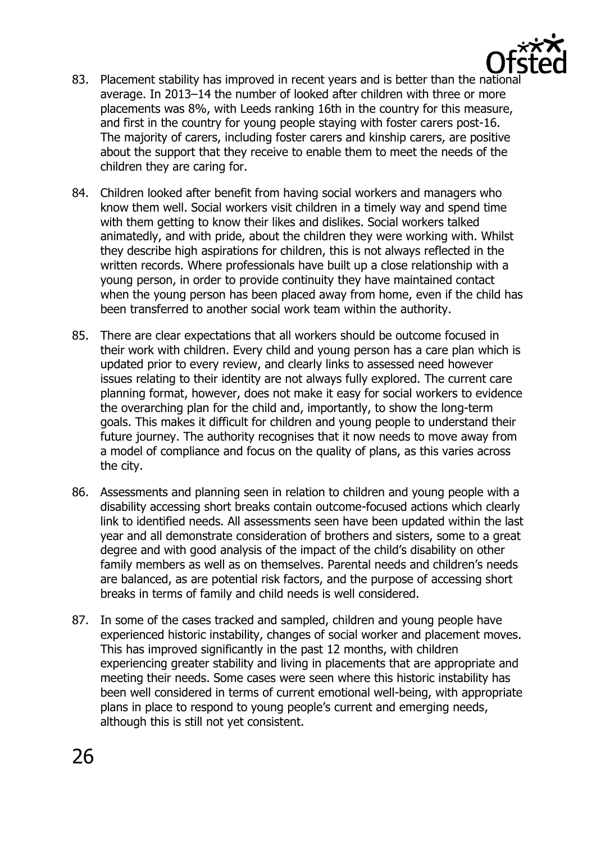

- 83. Placement stability has improved in recent years and is better than the national average. In 2013–14 the number of looked after children with three or more placements was 8%, with Leeds ranking 16th in the country for this measure, and first in the country for young people staying with foster carers post-16. The majority of carers, including foster carers and kinship carers, are positive about the support that they receive to enable them to meet the needs of the children they are caring for.
- 84. Children looked after benefit from having social workers and managers who know them well. Social workers visit children in a timely way and spend time with them getting to know their likes and dislikes. Social workers talked animatedly, and with pride, about the children they were working with. Whilst they describe high aspirations for children, this is not always reflected in the written records. Where professionals have built up a close relationship with a young person, in order to provide continuity they have maintained contact when the young person has been placed away from home, even if the child has been transferred to another social work team within the authority.
- 85. There are clear expectations that all workers should be outcome focused in their work with children. Every child and young person has a care plan which is updated prior to every review, and clearly links to assessed need however issues relating to their identity are not always fully explored. The current care planning format, however, does not make it easy for social workers to evidence the overarching plan for the child and, importantly, to show the long-term goals. This makes it difficult for children and young people to understand their future journey. The authority recognises that it now needs to move away from a model of compliance and focus on the quality of plans, as this varies across the city.
- 86. Assessments and planning seen in relation to children and young people with a disability accessing short breaks contain outcome-focused actions which clearly link to identified needs. All assessments seen have been updated within the last year and all demonstrate consideration of brothers and sisters, some to a great degree and with good analysis of the impact of the child's disability on other family members as well as on themselves. Parental needs and children's needs are balanced, as are potential risk factors, and the purpose of accessing short breaks in terms of family and child needs is well considered.
- 87. In some of the cases tracked and sampled, children and young people have experienced historic instability, changes of social worker and placement moves. This has improved significantly in the past 12 months, with children experiencing greater stability and living in placements that are appropriate and meeting their needs. Some cases were seen where this historic instability has been well considered in terms of current emotional well-being, with appropriate plans in place to respond to young people's current and emerging needs, although this is still not yet consistent.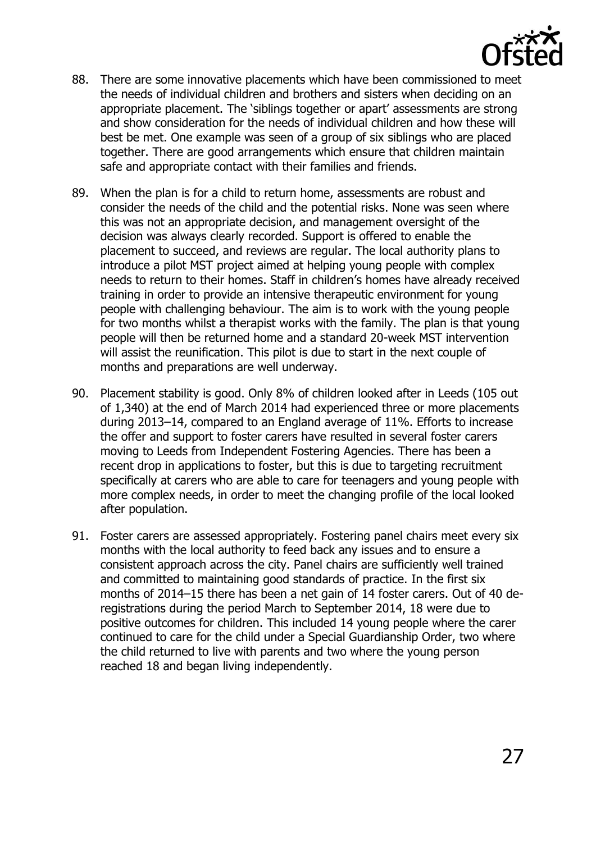

- 88. There are some innovative placements which have been commissioned to meet the needs of individual children and brothers and sisters when deciding on an appropriate placement. The 'siblings together or apart' assessments are strong and show consideration for the needs of individual children and how these will best be met. One example was seen of a group of six siblings who are placed together. There are good arrangements which ensure that children maintain safe and appropriate contact with their families and friends.
- 89. When the plan is for a child to return home, assessments are robust and consider the needs of the child and the potential risks. None was seen where this was not an appropriate decision, and management oversight of the decision was always clearly recorded. Support is offered to enable the placement to succeed, and reviews are regular. The local authority plans to introduce a pilot MST project aimed at helping young people with complex needs to return to their homes. Staff in children's homes have already received training in order to provide an intensive therapeutic environment for young people with challenging behaviour. The aim is to work with the young people for two months whilst a therapist works with the family. The plan is that young people will then be returned home and a standard 20-week MST intervention will assist the reunification. This pilot is due to start in the next couple of months and preparations are well underway.
- 90. Placement stability is good. Only 8% of children looked after in Leeds (105 out of 1,340) at the end of March 2014 had experienced three or more placements during 2013–14, compared to an England average of 11%. Efforts to increase the offer and support to foster carers have resulted in several foster carers moving to Leeds from Independent Fostering Agencies. There has been a recent drop in applications to foster, but this is due to targeting recruitment specifically at carers who are able to care for teenagers and young people with more complex needs, in order to meet the changing profile of the local looked after population.
- 91. Foster carers are assessed appropriately. Fostering panel chairs meet every six months with the local authority to feed back any issues and to ensure a consistent approach across the city. Panel chairs are sufficiently well trained and committed to maintaining good standards of practice. In the first six months of 2014–15 there has been a net gain of 14 foster carers. Out of 40 deregistrations during the period March to September 2014, 18 were due to positive outcomes for children. This included 14 young people where the carer continued to care for the child under a Special Guardianship Order, two where the child returned to live with parents and two where the young person reached 18 and began living independently.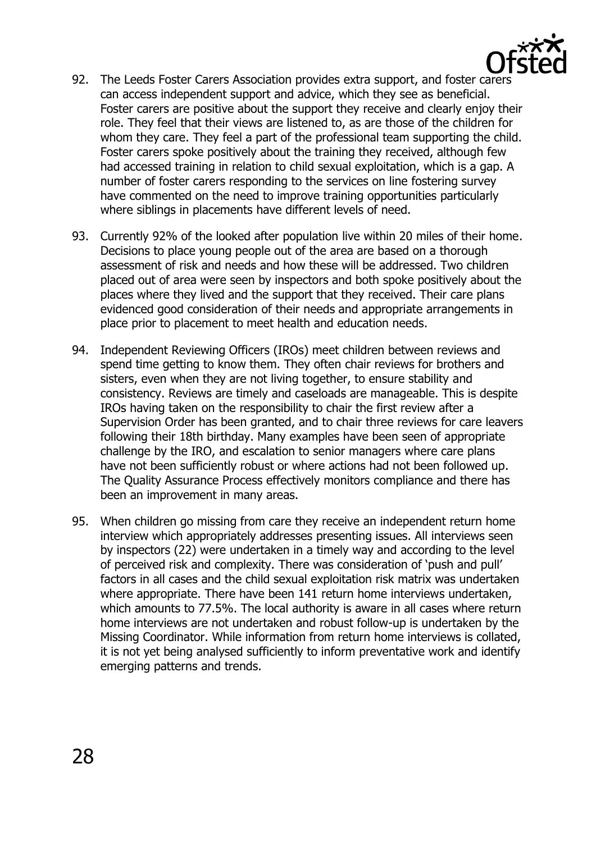

- 92. The Leeds Foster Carers Association provides extra support, and foster carers can access independent support and advice, which they see as beneficial. Foster carers are positive about the support they receive and clearly enjoy their role. They feel that their views are listened to, as are those of the children for whom they care. They feel a part of the professional team supporting the child. Foster carers spoke positively about the training they received, although few had accessed training in relation to child sexual exploitation, which is a gap. A number of foster carers responding to the services on line fostering survey have commented on the need to improve training opportunities particularly where siblings in placements have different levels of need.
- 93. Currently 92% of the looked after population live within 20 miles of their home. Decisions to place young people out of the area are based on a thorough assessment of risk and needs and how these will be addressed. Two children placed out of area were seen by inspectors and both spoke positively about the places where they lived and the support that they received. Their care plans evidenced good consideration of their needs and appropriate arrangements in place prior to placement to meet health and education needs.
- 94. Independent Reviewing Officers (IROs) meet children between reviews and spend time getting to know them. They often chair reviews for brothers and sisters, even when they are not living together, to ensure stability and consistency. Reviews are timely and caseloads are manageable. This is despite IROs having taken on the responsibility to chair the first review after a Supervision Order has been granted, and to chair three reviews for care leavers following their 18th birthday. Many examples have been seen of appropriate challenge by the IRO, and escalation to senior managers where care plans have not been sufficiently robust or where actions had not been followed up. The Quality Assurance Process effectively monitors compliance and there has been an improvement in many areas.
- 95. When children go missing from care they receive an independent return home interview which appropriately addresses presenting issues. All interviews seen by inspectors (22) were undertaken in a timely way and according to the level of perceived risk and complexity. There was consideration of 'push and pull' factors in all cases and the child sexual exploitation risk matrix was undertaken where appropriate. There have been 141 return home interviews undertaken, which amounts to 77.5%. The local authority is aware in all cases where return home interviews are not undertaken and robust follow-up is undertaken by the Missing Coordinator. While information from return home interviews is collated, it is not yet being analysed sufficiently to inform preventative work and identify emerging patterns and trends.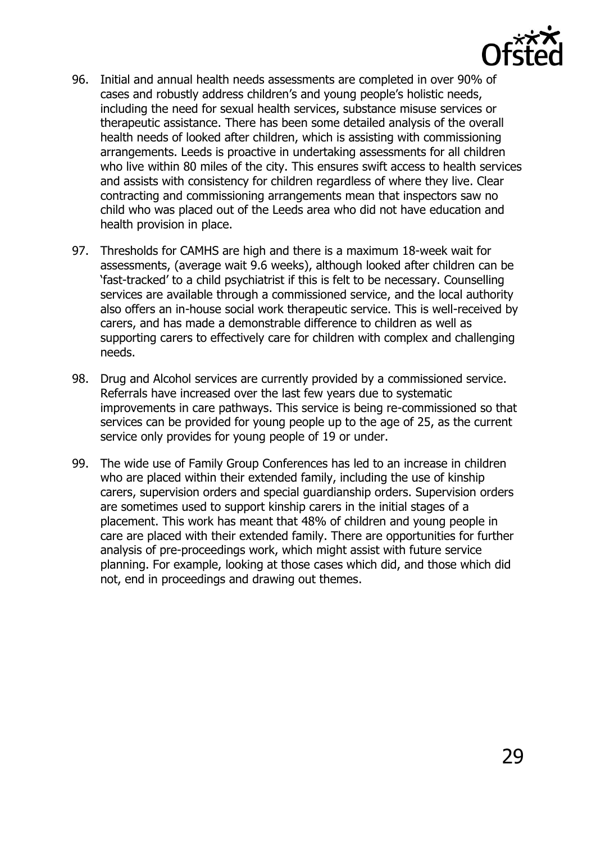

- 96. Initial and annual health needs assessments are completed in over 90% of cases and robustly address children's and young people's holistic needs, including the need for sexual health services, substance misuse services or therapeutic assistance. There has been some detailed analysis of the overall health needs of looked after children, which is assisting with commissioning arrangements. Leeds is proactive in undertaking assessments for all children who live within 80 miles of the city. This ensures swift access to health services and assists with consistency for children regardless of where they live. Clear contracting and commissioning arrangements mean that inspectors saw no child who was placed out of the Leeds area who did not have education and health provision in place.
- 97. Thresholds for CAMHS are high and there is a maximum 18-week wait for assessments, (average wait 9.6 weeks), although looked after children can be 'fast-tracked' to a child psychiatrist if this is felt to be necessary. Counselling services are available through a commissioned service, and the local authority also offers an in-house social work therapeutic service. This is well-received by carers, and has made a demonstrable difference to children as well as supporting carers to effectively care for children with complex and challenging needs.
- 98. Drug and Alcohol services are currently provided by a commissioned service. Referrals have increased over the last few years due to systematic improvements in care pathways. This service is being re-commissioned so that services can be provided for young people up to the age of 25, as the current service only provides for young people of 19 or under.
- 99. The wide use of Family Group Conferences has led to an increase in children who are placed within their extended family, including the use of kinship carers, supervision orders and special guardianship orders. Supervision orders are sometimes used to support kinship carers in the initial stages of a placement. This work has meant that 48% of children and young people in care are placed with their extended family. There are opportunities for further analysis of pre-proceedings work, which might assist with future service planning. For example, looking at those cases which did, and those which did not, end in proceedings and drawing out themes.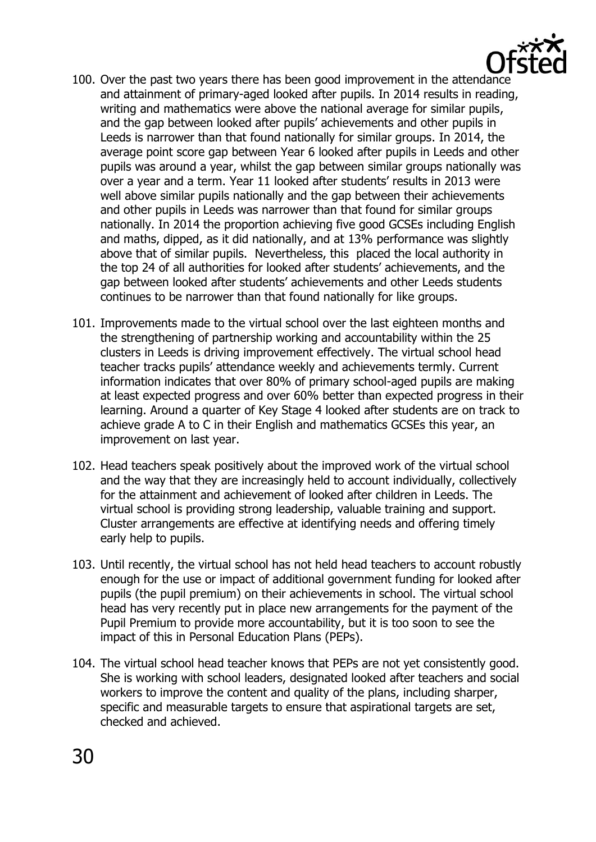

- 100. Over the past two years there has been good improvement in the attendance and attainment of primary-aged looked after pupils. In 2014 results in reading, writing and mathematics were above the national average for similar pupils, and the gap between looked after pupils' achievements and other pupils in Leeds is narrower than that found nationally for similar groups. In 2014, the average point score gap between Year 6 looked after pupils in Leeds and other pupils was around a year, whilst the gap between similar groups nationally was over a year and a term. Year 11 looked after students' results in 2013 were well above similar pupils nationally and the gap between their achievements and other pupils in Leeds was narrower than that found for similar groups nationally. In 2014 the proportion achieving five good GCSEs including English and maths, dipped, as it did nationally, and at 13% performance was slightly above that of similar pupils. Nevertheless, this placed the local authority in the top 24 of all authorities for looked after students' achievements, and the gap between looked after students' achievements and other Leeds students continues to be narrower than that found nationally for like groups.
- 101. Improvements made to the virtual school over the last eighteen months and the strengthening of partnership working and accountability within the 25 clusters in Leeds is driving improvement effectively. The virtual school head teacher tracks pupils' attendance weekly and achievements termly. Current information indicates that over 80% of primary school-aged pupils are making at least expected progress and over 60% better than expected progress in their learning. Around a quarter of Key Stage 4 looked after students are on track to achieve grade A to C in their English and mathematics GCSEs this year, an improvement on last year.
- 102. Head teachers speak positively about the improved work of the virtual school and the way that they are increasingly held to account individually, collectively for the attainment and achievement of looked after children in Leeds. The virtual school is providing strong leadership, valuable training and support. Cluster arrangements are effective at identifying needs and offering timely early help to pupils.
- 103. Until recently, the virtual school has not held head teachers to account robustly enough for the use or impact of additional government funding for looked after pupils (the pupil premium) on their achievements in school. The virtual school head has very recently put in place new arrangements for the payment of the Pupil Premium to provide more accountability, but it is too soon to see the impact of this in Personal Education Plans (PEPs).
- 104. The virtual school head teacher knows that PEPs are not yet consistently good. She is working with school leaders, designated looked after teachers and social workers to improve the content and quality of the plans, including sharper, specific and measurable targets to ensure that aspirational targets are set, checked and achieved.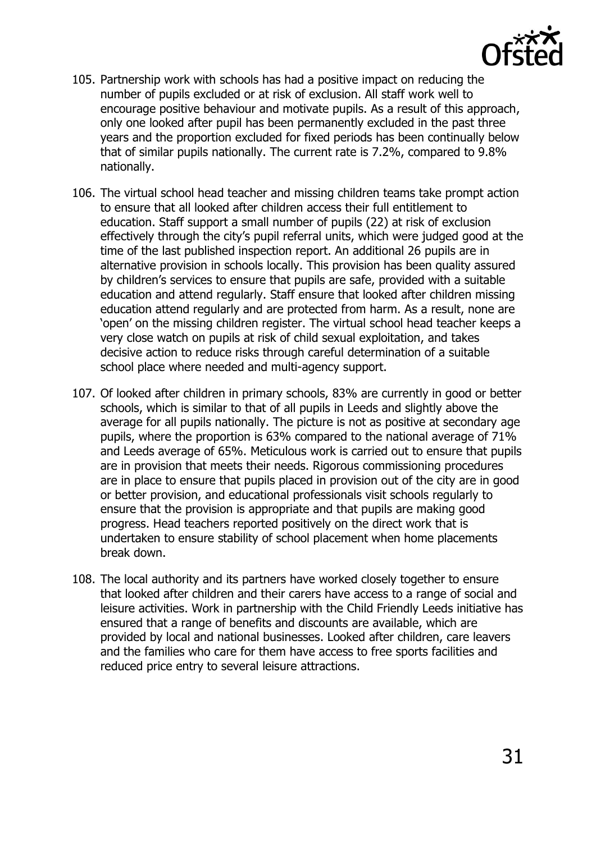

- 105. Partnership work with schools has had a positive impact on reducing the number of pupils excluded or at risk of exclusion. All staff work well to encourage positive behaviour and motivate pupils. As a result of this approach, only one looked after pupil has been permanently excluded in the past three years and the proportion excluded for fixed periods has been continually below that of similar pupils nationally. The current rate is 7.2%, compared to 9.8% nationally.
- 106. The virtual school head teacher and missing children teams take prompt action to ensure that all looked after children access their full entitlement to education. Staff support a small number of pupils (22) at risk of exclusion effectively through the city's pupil referral units, which were judged good at the time of the last published inspection report. An additional 26 pupils are in alternative provision in schools locally. This provision has been quality assured by children's services to ensure that pupils are safe, provided with a suitable education and attend regularly. Staff ensure that looked after children missing education attend regularly and are protected from harm. As a result, none are 'open' on the missing children register. The virtual school head teacher keeps a very close watch on pupils at risk of child sexual exploitation, and takes decisive action to reduce risks through careful determination of a suitable school place where needed and multi-agency support.
- 107. Of looked after children in primary schools, 83% are currently in good or better schools, which is similar to that of all pupils in Leeds and slightly above the average for all pupils nationally. The picture is not as positive at secondary age pupils, where the proportion is 63% compared to the national average of 71% and Leeds average of 65%. Meticulous work is carried out to ensure that pupils are in provision that meets their needs. Rigorous commissioning procedures are in place to ensure that pupils placed in provision out of the city are in good or better provision, and educational professionals visit schools regularly to ensure that the provision is appropriate and that pupils are making good progress. Head teachers reported positively on the direct work that is undertaken to ensure stability of school placement when home placements break down.
- 108. The local authority and its partners have worked closely together to ensure that looked after children and their carers have access to a range of social and leisure activities. Work in partnership with the Child Friendly Leeds initiative has ensured that a range of benefits and discounts are available, which are provided by local and national businesses. Looked after children, care leavers and the families who care for them have access to free sports facilities and reduced price entry to several leisure attractions.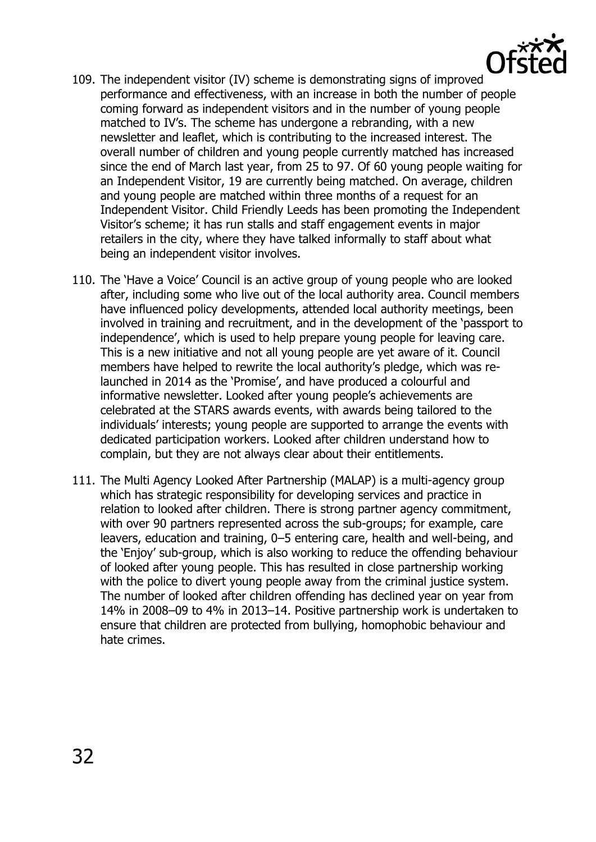

- 109. The independent visitor (IV) scheme is demonstrating signs of improved performance and effectiveness, with an increase in both the number of people coming forward as independent visitors and in the number of young people matched to IV's. The scheme has undergone a rebranding, with a new newsletter and leaflet, which is contributing to the increased interest. The overall number of children and young people currently matched has increased since the end of March last year, from 25 to 97. Of 60 young people waiting for an Independent Visitor, 19 are currently being matched. On average, children and young people are matched within three months of a request for an Independent Visitor. Child Friendly Leeds has been promoting the Independent Visitor's scheme; it has run stalls and staff engagement events in major retailers in the city, where they have talked informally to staff about what being an independent visitor involves.
- 110. The 'Have a Voice' Council is an active group of young people who are looked after, including some who live out of the local authority area. Council members have influenced policy developments, attended local authority meetings, been involved in training and recruitment, and in the development of the 'passport to independence', which is used to help prepare young people for leaving care. This is a new initiative and not all young people are yet aware of it. Council members have helped to rewrite the local authority's pledge, which was relaunched in 2014 as the 'Promise', and have produced a colourful and informative newsletter. Looked after young people's achievements are celebrated at the STARS awards events, with awards being tailored to the individuals' interests; young people are supported to arrange the events with dedicated participation workers. Looked after children understand how to complain, but they are not always clear about their entitlements.
- 111. The Multi Agency Looked After Partnership (MALAP) is a multi-agency group which has strategic responsibility for developing services and practice in relation to looked after children. There is strong partner agency commitment, with over 90 partners represented across the sub-groups; for example, care leavers, education and training, 0–5 entering care, health and well-being, and the 'Enjoy' sub-group, which is also working to reduce the offending behaviour of looked after young people. This has resulted in close partnership working with the police to divert young people away from the criminal justice system. The number of looked after children offending has declined year on year from 14% in 2008–09 to 4% in 2013–14. Positive partnership work is undertaken to ensure that children are protected from bullying, homophobic behaviour and hate crimes.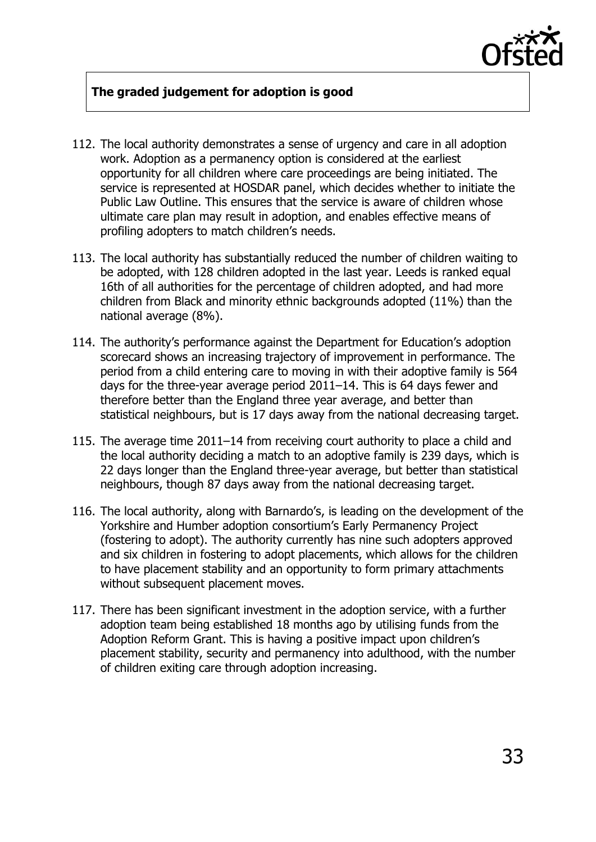

#### **The graded judgement for adoption is good**

- 112. The local authority demonstrates a sense of urgency and care in all adoption work. Adoption as a permanency option is considered at the earliest opportunity for all children where care proceedings are being initiated. The service is represented at HOSDAR panel, which decides whether to initiate the Public Law Outline. This ensures that the service is aware of children whose ultimate care plan may result in adoption, and enables effective means of profiling adopters to match children's needs.
- 113. The local authority has substantially reduced the number of children waiting to be adopted, with 128 children adopted in the last year. Leeds is ranked equal 16th of all authorities for the percentage of children adopted, and had more children from Black and minority ethnic backgrounds adopted (11%) than the national average (8%).
- 114. The authority's performance against the Department for Education's adoption scorecard shows an increasing trajectory of improvement in performance. The period from a child entering care to moving in with their adoptive family is 564 days for the three-year average period 2011–14. This is 64 days fewer and therefore better than the England three year average, and better than statistical neighbours, but is 17 days away from the national decreasing target.
- 115. The average time 2011–14 from receiving court authority to place a child and the local authority deciding a match to an adoptive family is 239 days, which is 22 days longer than the England three-year average, but better than statistical neighbours, though 87 days away from the national decreasing target.
- 116. The local authority, along with Barnardo's, is leading on the development of the Yorkshire and Humber adoption consortium's Early Permanency Project (fostering to adopt). The authority currently has nine such adopters approved and six children in fostering to adopt placements, which allows for the children to have placement stability and an opportunity to form primary attachments without subsequent placement moves.
- 117. There has been significant investment in the adoption service, with a further adoption team being established 18 months ago by utilising funds from the Adoption Reform Grant. This is having a positive impact upon children's placement stability, security and permanency into adulthood, with the number of children exiting care through adoption increasing.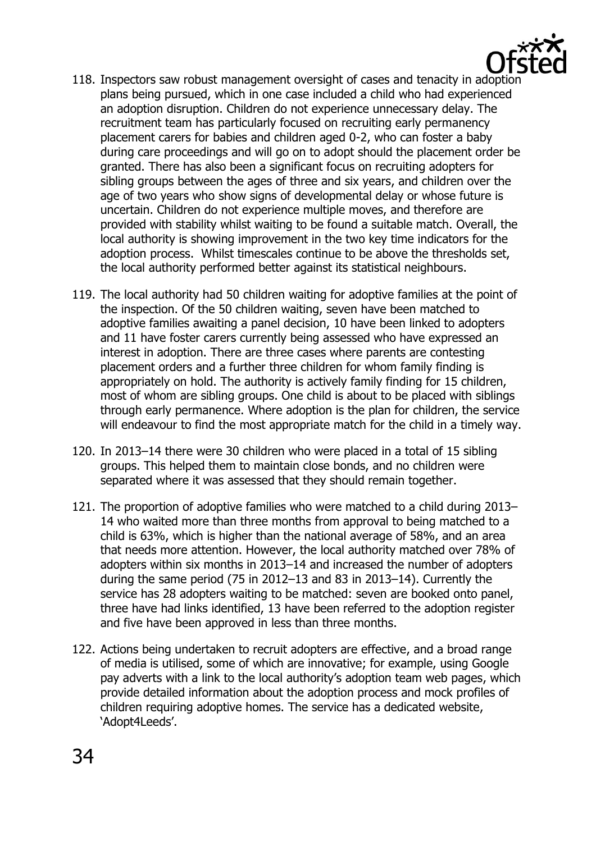

- 118. Inspectors saw robust management oversight of cases and tenacity in adoption plans being pursued, which in one case included a child who had experienced an adoption disruption. Children do not experience unnecessary delay. The recruitment team has particularly focused on recruiting early permanency placement carers for babies and children aged 0-2, who can foster a baby during care proceedings and will go on to adopt should the placement order be granted. There has also been a significant focus on recruiting adopters for sibling groups between the ages of three and six years, and children over the age of two years who show signs of developmental delay or whose future is uncertain. Children do not experience multiple moves, and therefore are provided with stability whilst waiting to be found a suitable match. Overall, the local authority is showing improvement in the two key time indicators for the adoption process. Whilst timescales continue to be above the thresholds set, the local authority performed better against its statistical neighbours.
- 119. The local authority had 50 children waiting for adoptive families at the point of the inspection. Of the 50 children waiting, seven have been matched to adoptive families awaiting a panel decision, 10 have been linked to adopters and 11 have foster carers currently being assessed who have expressed an interest in adoption. There are three cases where parents are contesting placement orders and a further three children for whom family finding is appropriately on hold. The authority is actively family finding for 15 children, most of whom are sibling groups. One child is about to be placed with siblings through early permanence. Where adoption is the plan for children, the service will endeavour to find the most appropriate match for the child in a timely way.
- 120. In 2013–14 there were 30 children who were placed in a total of 15 sibling groups. This helped them to maintain close bonds, and no children were separated where it was assessed that they should remain together.
- 121. The proportion of adoptive families who were matched to a child during 2013– 14 who waited more than three months from approval to being matched to a child is 63%, which is higher than the national average of 58%, and an area that needs more attention. However, the local authority matched over 78% of adopters within six months in 2013–14 and increased the number of adopters during the same period (75 in 2012–13 and 83 in 2013–14). Currently the service has 28 adopters waiting to be matched: seven are booked onto panel, three have had links identified, 13 have been referred to the adoption register and five have been approved in less than three months.
- 122. Actions being undertaken to recruit adopters are effective, and a broad range of media is utilised, some of which are innovative; for example, using Google pay adverts with a link to the local authority's adoption team web pages, which provide detailed information about the adoption process and mock profiles of children requiring adoptive homes. The service has a dedicated website, 'Adopt4Leeds'.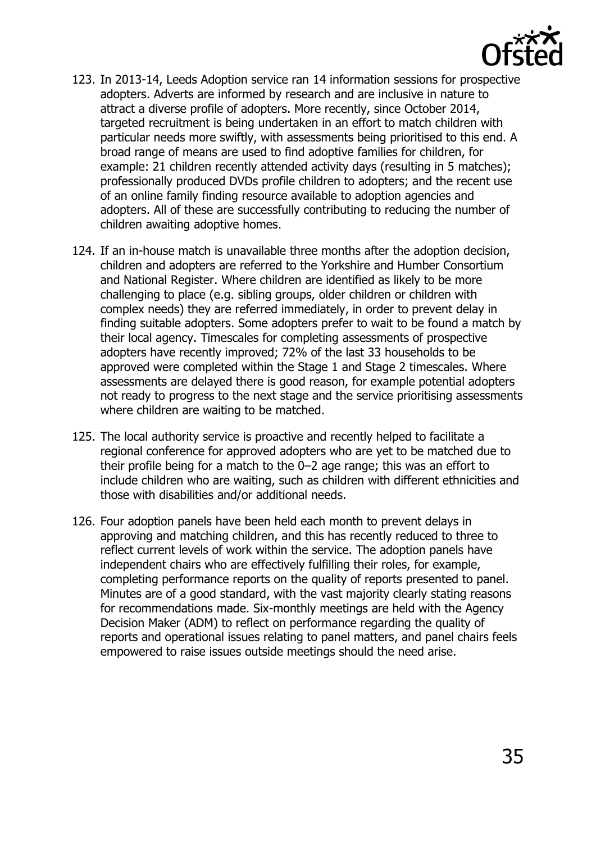

- 123. In 2013-14, Leeds Adoption service ran 14 information sessions for prospective adopters. Adverts are informed by research and are inclusive in nature to attract a diverse profile of adopters. More recently, since October 2014, targeted recruitment is being undertaken in an effort to match children with particular needs more swiftly, with assessments being prioritised to this end. A broad range of means are used to find adoptive families for children, for example: 21 children recently attended activity days (resulting in 5 matches); professionally produced DVDs profile children to adopters; and the recent use of an online family finding resource available to adoption agencies and adopters. All of these are successfully contributing to reducing the number of children awaiting adoptive homes.
- 124. If an in-house match is unavailable three months after the adoption decision, children and adopters are referred to the Yorkshire and Humber Consortium and National Register. Where children are identified as likely to be more challenging to place (e.g. sibling groups, older children or children with complex needs) they are referred immediately, in order to prevent delay in finding suitable adopters. Some adopters prefer to wait to be found a match by their local agency. Timescales for completing assessments of prospective adopters have recently improved; 72% of the last 33 households to be approved were completed within the Stage 1 and Stage 2 timescales. Where assessments are delayed there is good reason, for example potential adopters not ready to progress to the next stage and the service prioritising assessments where children are waiting to be matched.
- 125. The local authority service is proactive and recently helped to facilitate a regional conference for approved adopters who are yet to be matched due to their profile being for a match to the 0–2 age range; this was an effort to include children who are waiting, such as children with different ethnicities and those with disabilities and/or additional needs.
- 126. Four adoption panels have been held each month to prevent delays in approving and matching children, and this has recently reduced to three to reflect current levels of work within the service. The adoption panels have independent chairs who are effectively fulfilling their roles, for example, completing performance reports on the quality of reports presented to panel. Minutes are of a good standard, with the vast majority clearly stating reasons for recommendations made. Six-monthly meetings are held with the Agency Decision Maker (ADM) to reflect on performance regarding the quality of reports and operational issues relating to panel matters, and panel chairs feels empowered to raise issues outside meetings should the need arise.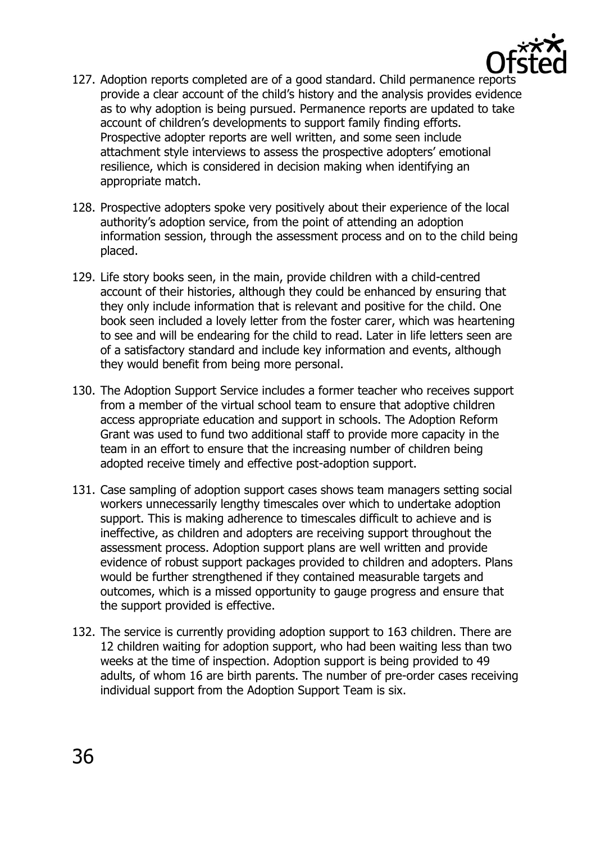

- 127. Adoption reports completed are of a good standard. Child permanence reports provide a clear account of the child's history and the analysis provides evidence as to why adoption is being pursued. Permanence reports are updated to take account of children's developments to support family finding efforts. Prospective adopter reports are well written, and some seen include attachment style interviews to assess the prospective adopters' emotional resilience, which is considered in decision making when identifying an appropriate match.
- 128. Prospective adopters spoke very positively about their experience of the local authority's adoption service, from the point of attending an adoption information session, through the assessment process and on to the child being placed.
- 129. Life story books seen, in the main, provide children with a child-centred account of their histories, although they could be enhanced by ensuring that they only include information that is relevant and positive for the child. One book seen included a lovely letter from the foster carer, which was heartening to see and will be endearing for the child to read. Later in life letters seen are of a satisfactory standard and include key information and events, although they would benefit from being more personal.
- 130. The Adoption Support Service includes a former teacher who receives support from a member of the virtual school team to ensure that adoptive children access appropriate education and support in schools. The Adoption Reform Grant was used to fund two additional staff to provide more capacity in the team in an effort to ensure that the increasing number of children being adopted receive timely and effective post-adoption support.
- 131. Case sampling of adoption support cases shows team managers setting social workers unnecessarily lengthy timescales over which to undertake adoption support. This is making adherence to timescales difficult to achieve and is ineffective, as children and adopters are receiving support throughout the assessment process. Adoption support plans are well written and provide evidence of robust support packages provided to children and adopters. Plans would be further strengthened if they contained measurable targets and outcomes, which is a missed opportunity to gauge progress and ensure that the support provided is effective.
- 132. The service is currently providing adoption support to 163 children. There are 12 children waiting for adoption support, who had been waiting less than two weeks at the time of inspection. Adoption support is being provided to 49 adults, of whom 16 are birth parents. The number of pre-order cases receiving individual support from the Adoption Support Team is six.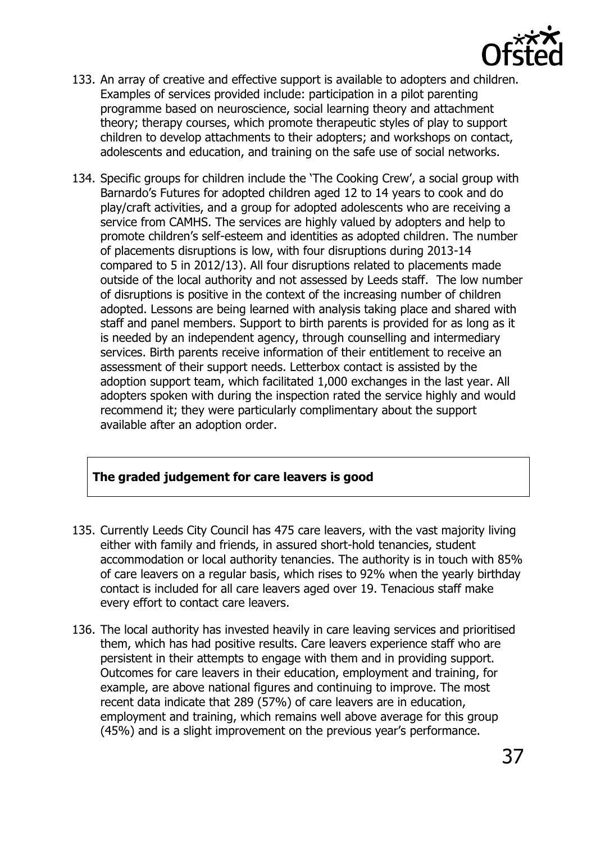

- 133. An array of creative and effective support is available to adopters and children. Examples of services provided include: participation in a pilot parenting programme based on neuroscience, social learning theory and attachment theory; therapy courses, which promote therapeutic styles of play to support children to develop attachments to their adopters; and workshops on contact, adolescents and education, and training on the safe use of social networks.
- 134. Specific groups for children include the 'The Cooking Crew', a social group with Barnardo's Futures for adopted children aged 12 to 14 years to cook and do play/craft activities, and a group for adopted adolescents who are receiving a service from CAMHS. The services are highly valued by adopters and help to promote children's self-esteem and identities as adopted children. The number of placements disruptions is low, with four disruptions during 2013-14 compared to 5 in 2012/13). All four disruptions related to placements made outside of the local authority and not assessed by Leeds staff. The low number of disruptions is positive in the context of the increasing number of children adopted. Lessons are being learned with analysis taking place and shared with staff and panel members. Support to birth parents is provided for as long as it is needed by an independent agency, through counselling and intermediary services. Birth parents receive information of their entitlement to receive an assessment of their support needs. Letterbox contact is assisted by the adoption support team, which facilitated 1,000 exchanges in the last year. All adopters spoken with during the inspection rated the service highly and would recommend it; they were particularly complimentary about the support available after an adoption order.

#### **The graded judgement for care leavers is good**

- 135. Currently Leeds City Council has 475 care leavers, with the vast majority living either with family and friends, in assured short-hold tenancies, student accommodation or local authority tenancies. The authority is in touch with 85% of care leavers on a regular basis, which rises to 92% when the yearly birthday contact is included for all care leavers aged over 19. Tenacious staff make every effort to contact care leavers.
- 136. The local authority has invested heavily in care leaving services and prioritised them, which has had positive results. Care leavers experience staff who are persistent in their attempts to engage with them and in providing support. Outcomes for care leavers in their education, employment and training, for example, are above national figures and continuing to improve. The most recent data indicate that 289 (57%) of care leavers are in education, employment and training, which remains well above average for this group (45%) and is a slight improvement on the previous year's performance.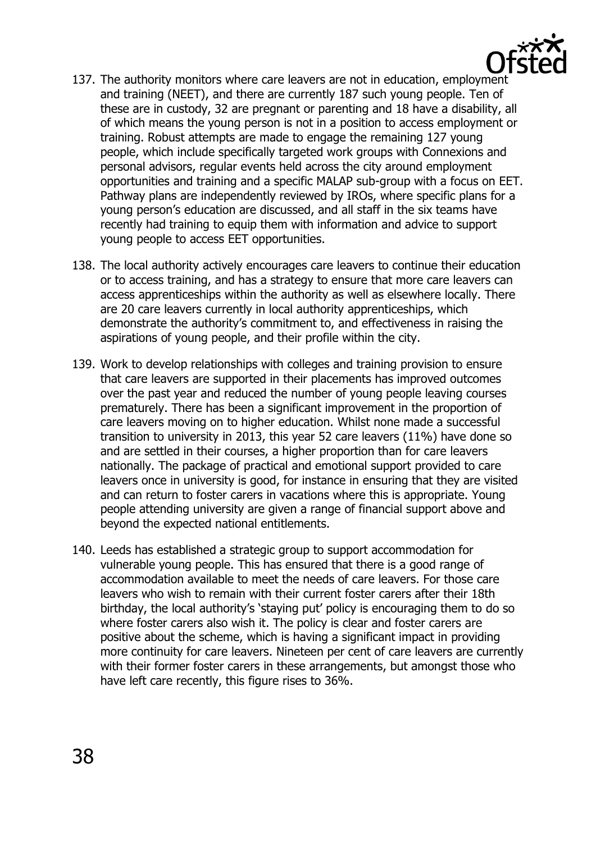

- 137. The authority monitors where care leavers are not in education, employment and training (NEET), and there are currently 187 such young people. Ten of these are in custody, 32 are pregnant or parenting and 18 have a disability, all of which means the young person is not in a position to access employment or training. Robust attempts are made to engage the remaining 127 young people, which include specifically targeted work groups with Connexions and personal advisors, regular events held across the city around employment opportunities and training and a specific MALAP sub-group with a focus on EET. Pathway plans are independently reviewed by IROs, where specific plans for a young person's education are discussed, and all staff in the six teams have recently had training to equip them with information and advice to support young people to access EET opportunities.
- 138. The local authority actively encourages care leavers to continue their education or to access training, and has a strategy to ensure that more care leavers can access apprenticeships within the authority as well as elsewhere locally. There are 20 care leavers currently in local authority apprenticeships, which demonstrate the authority's commitment to, and effectiveness in raising the aspirations of young people, and their profile within the city.
- 139. Work to develop relationships with colleges and training provision to ensure that care leavers are supported in their placements has improved outcomes over the past year and reduced the number of young people leaving courses prematurely. There has been a significant improvement in the proportion of care leavers moving on to higher education. Whilst none made a successful transition to university in 2013, this year 52 care leavers (11%) have done so and are settled in their courses, a higher proportion than for care leavers nationally. The package of practical and emotional support provided to care leavers once in university is good, for instance in ensuring that they are visited and can return to foster carers in vacations where this is appropriate. Young people attending university are given a range of financial support above and beyond the expected national entitlements.
- 140. Leeds has established a strategic group to support accommodation for vulnerable young people. This has ensured that there is a good range of accommodation available to meet the needs of care leavers. For those care leavers who wish to remain with their current foster carers after their 18th birthday, the local authority's 'staying put' policy is encouraging them to do so where foster carers also wish it. The policy is clear and foster carers are positive about the scheme, which is having a significant impact in providing more continuity for care leavers. Nineteen per cent of care leavers are currently with their former foster carers in these arrangements, but amongst those who have left care recently, this figure rises to 36%.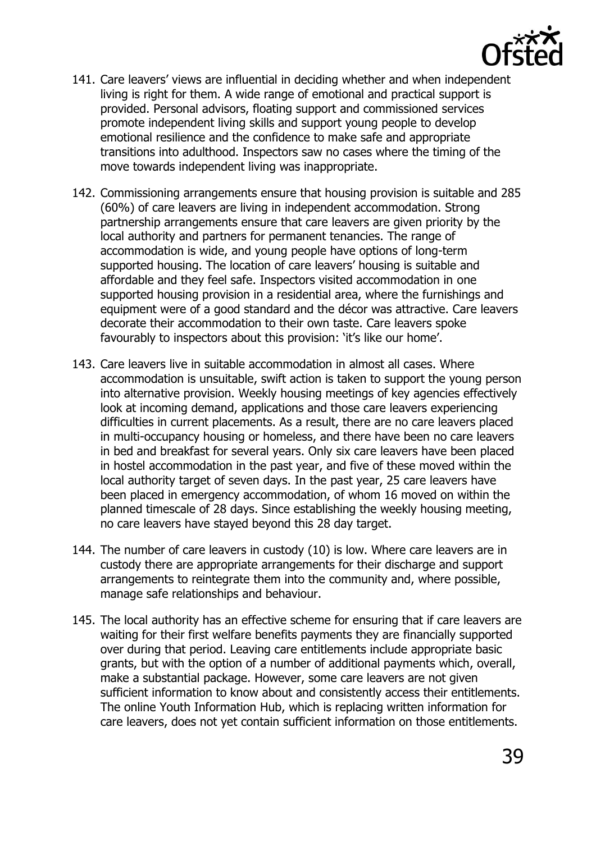

- 141. Care leavers' views are influential in deciding whether and when independent living is right for them. A wide range of emotional and practical support is provided. Personal advisors, floating support and commissioned services promote independent living skills and support young people to develop emotional resilience and the confidence to make safe and appropriate transitions into adulthood. Inspectors saw no cases where the timing of the move towards independent living was inappropriate.
- 142. Commissioning arrangements ensure that housing provision is suitable and 285 (60%) of care leavers are living in independent accommodation. Strong partnership arrangements ensure that care leavers are given priority by the local authority and partners for permanent tenancies. The range of accommodation is wide, and young people have options of long-term supported housing. The location of care leavers' housing is suitable and affordable and they feel safe. Inspectors visited accommodation in one supported housing provision in a residential area, where the furnishings and equipment were of a good standard and the décor was attractive. Care leavers decorate their accommodation to their own taste. Care leavers spoke favourably to inspectors about this provision: 'it's like our home'.
- 143. Care leavers live in suitable accommodation in almost all cases. Where accommodation is unsuitable, swift action is taken to support the young person into alternative provision. Weekly housing meetings of key agencies effectively look at incoming demand, applications and those care leavers experiencing difficulties in current placements. As a result, there are no care leavers placed in multi-occupancy housing or homeless, and there have been no care leavers in bed and breakfast for several years. Only six care leavers have been placed in hostel accommodation in the past year, and five of these moved within the local authority target of seven days. In the past year, 25 care leavers have been placed in emergency accommodation, of whom 16 moved on within the planned timescale of 28 days. Since establishing the weekly housing meeting, no care leavers have stayed beyond this 28 day target.
- 144. The number of care leavers in custody (10) is low. Where care leavers are in custody there are appropriate arrangements for their discharge and support arrangements to reintegrate them into the community and, where possible, manage safe relationships and behaviour.
- 145. The local authority has an effective scheme for ensuring that if care leavers are waiting for their first welfare benefits payments they are financially supported over during that period. Leaving care entitlements include appropriate basic grants, but with the option of a number of additional payments which, overall, make a substantial package. However, some care leavers are not given sufficient information to know about and consistently access their entitlements. The online Youth Information Hub, which is replacing written information for care leavers, does not yet contain sufficient information on those entitlements.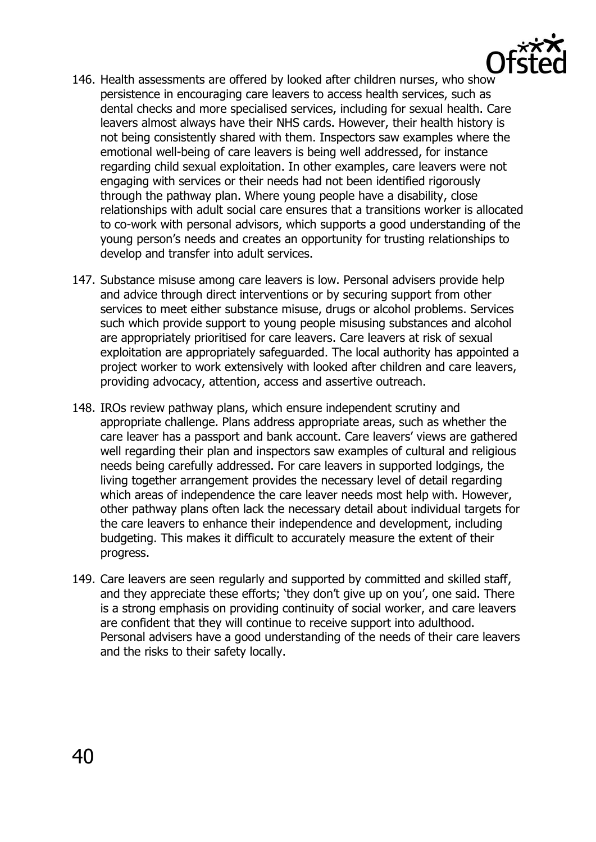

- 146. Health assessments are offered by looked after children nurses, who show persistence in encouraging care leavers to access health services, such as dental checks and more specialised services, including for sexual health. Care leavers almost always have their NHS cards. However, their health history is not being consistently shared with them. Inspectors saw examples where the emotional well-being of care leavers is being well addressed, for instance regarding child sexual exploitation. In other examples, care leavers were not engaging with services or their needs had not been identified rigorously through the pathway plan. Where young people have a disability, close relationships with adult social care ensures that a transitions worker is allocated to co-work with personal advisors, which supports a good understanding of the young person's needs and creates an opportunity for trusting relationships to develop and transfer into adult services.
- 147. Substance misuse among care leavers is low. Personal advisers provide help and advice through direct interventions or by securing support from other services to meet either substance misuse, drugs or alcohol problems. Services such which provide support to young people misusing substances and alcohol are appropriately prioritised for care leavers. Care leavers at risk of sexual exploitation are appropriately safeguarded. The local authority has appointed a project worker to work extensively with looked after children and care leavers, providing advocacy, attention, access and assertive outreach.
- 148. IROs review pathway plans, which ensure independent scrutiny and appropriate challenge. Plans address appropriate areas, such as whether the care leaver has a passport and bank account. Care leavers' views are gathered well regarding their plan and inspectors saw examples of cultural and religious needs being carefully addressed. For care leavers in supported lodgings, the living together arrangement provides the necessary level of detail regarding which areas of independence the care leaver needs most help with. However, other pathway plans often lack the necessary detail about individual targets for the care leavers to enhance their independence and development, including budgeting. This makes it difficult to accurately measure the extent of their progress.
- 149. Care leavers are seen regularly and supported by committed and skilled staff, and they appreciate these efforts; 'they don't give up on you', one said. There is a strong emphasis on providing continuity of social worker, and care leavers are confident that they will continue to receive support into adulthood. Personal advisers have a good understanding of the needs of their care leavers and the risks to their safety locally.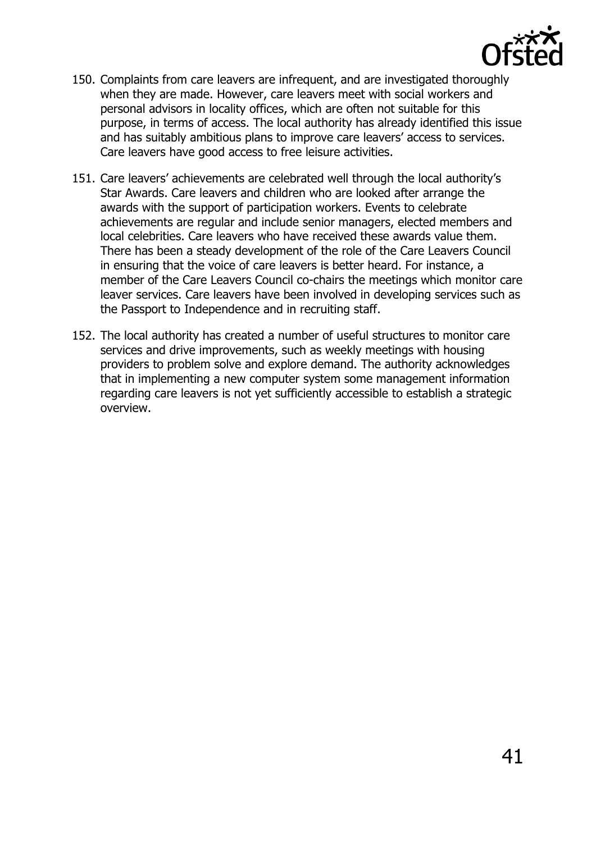

- 150. Complaints from care leavers are infrequent, and are investigated thoroughly when they are made. However, care leavers meet with social workers and personal advisors in locality offices, which are often not suitable for this purpose, in terms of access. The local authority has already identified this issue and has suitably ambitious plans to improve care leavers' access to services. Care leavers have good access to free leisure activities.
- 151. Care leavers' achievements are celebrated well through the local authority's Star Awards. Care leavers and children who are looked after arrange the awards with the support of participation workers. Events to celebrate achievements are regular and include senior managers, elected members and local celebrities. Care leavers who have received these awards value them. There has been a steady development of the role of the Care Leavers Council in ensuring that the voice of care leavers is better heard. For instance, a member of the Care Leavers Council co-chairs the meetings which monitor care leaver services. Care leavers have been involved in developing services such as the Passport to Independence and in recruiting staff.
- 152. The local authority has created a number of useful structures to monitor care services and drive improvements, such as weekly meetings with housing providers to problem solve and explore demand. The authority acknowledges that in implementing a new computer system some management information regarding care leavers is not yet sufficiently accessible to establish a strategic overview.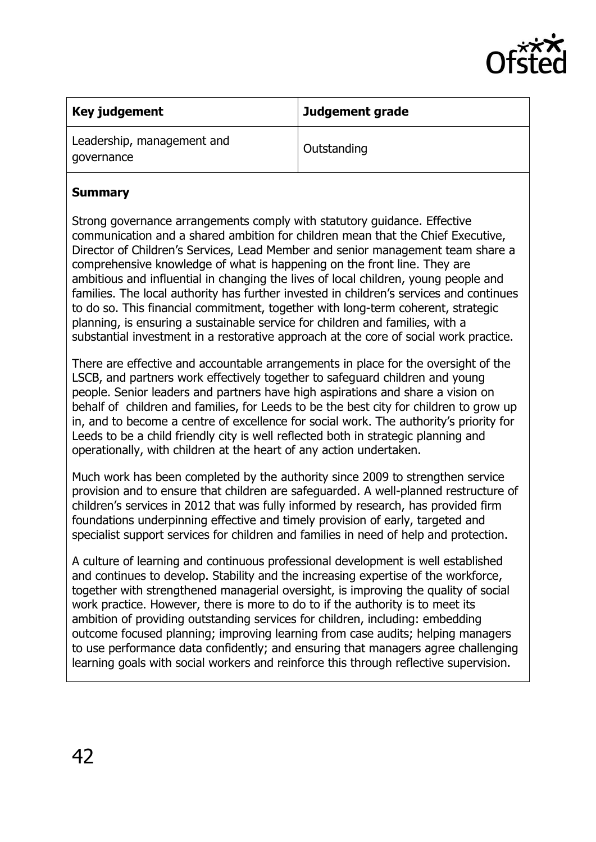

| Key judgement                            | Judgement grade |
|------------------------------------------|-----------------|
| Leadership, management and<br>governance | Outstanding     |

#### **Summary**

Strong governance arrangements comply with statutory guidance. Effective communication and a shared ambition for children mean that the Chief Executive, Director of Children's Services, Lead Member and senior management team share a comprehensive knowledge of what is happening on the front line. They are ambitious and influential in changing the lives of local children, young people and families. The local authority has further invested in children's services and continues to do so. This financial commitment, together with long-term coherent, strategic planning, is ensuring a sustainable service for children and families, with a substantial investment in a restorative approach at the core of social work practice.

There are effective and accountable arrangements in place for the oversight of the LSCB, and partners work effectively together to safeguard children and young people. Senior leaders and partners have high aspirations and share a vision on behalf of children and families, for Leeds to be the best city for children to grow up in, and to become a centre of excellence for social work. The authority's priority for Leeds to be a child friendly city is well reflected both in strategic planning and operationally, with children at the heart of any action undertaken.

Much work has been completed by the authority since 2009 to strengthen service provision and to ensure that children are safeguarded. A well-planned restructure of children's services in 2012 that was fully informed by research, has provided firm foundations underpinning effective and timely provision of early, targeted and specialist support services for children and families in need of help and protection.

A culture of learning and continuous professional development is well established and continues to develop. Stability and the increasing expertise of the workforce, together with strengthened managerial oversight, is improving the quality of social work practice. However, there is more to do to if the authority is to meet its ambition of providing outstanding services for children, including: embedding outcome focused planning; improving learning from case audits; helping managers to use performance data confidently; and ensuring that managers agree challenging learning goals with social workers and reinforce this through reflective supervision.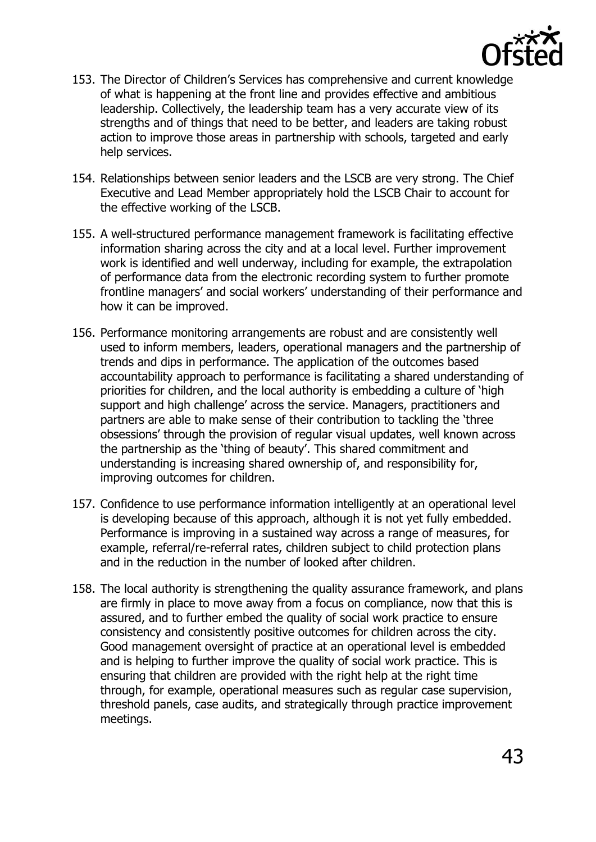

- 153. The Director of Children's Services has comprehensive and current knowledge of what is happening at the front line and provides effective and ambitious leadership. Collectively, the leadership team has a very accurate view of its strengths and of things that need to be better, and leaders are taking robust action to improve those areas in partnership with schools, targeted and early help services.
- 154. Relationships between senior leaders and the LSCB are very strong. The Chief Executive and Lead Member appropriately hold the LSCB Chair to account for the effective working of the LSCB.
- 155. A well-structured performance management framework is facilitating effective information sharing across the city and at a local level. Further improvement work is identified and well underway, including for example, the extrapolation of performance data from the electronic recording system to further promote frontline managers' and social workers' understanding of their performance and how it can be improved.
- 156. Performance monitoring arrangements are robust and are consistently well used to inform members, leaders, operational managers and the partnership of trends and dips in performance. The application of the outcomes based accountability approach to performance is facilitating a shared understanding of priorities for children, and the local authority is embedding a culture of 'high support and high challenge' across the service. Managers, practitioners and partners are able to make sense of their contribution to tackling the 'three obsessions' through the provision of regular visual updates, well known across the partnership as the 'thing of beauty'. This shared commitment and understanding is increasing shared ownership of, and responsibility for, improving outcomes for children.
- 157. Confidence to use performance information intelligently at an operational level is developing because of this approach, although it is not yet fully embedded. Performance is improving in a sustained way across a range of measures, for example, referral/re-referral rates, children subject to child protection plans and in the reduction in the number of looked after children.
- 158. The local authority is strengthening the quality assurance framework, and plans are firmly in place to move away from a focus on compliance, now that this is assured, and to further embed the quality of social work practice to ensure consistency and consistently positive outcomes for children across the city. Good management oversight of practice at an operational level is embedded and is helping to further improve the quality of social work practice. This is ensuring that children are provided with the right help at the right time through, for example, operational measures such as regular case supervision, threshold panels, case audits, and strategically through practice improvement meetings.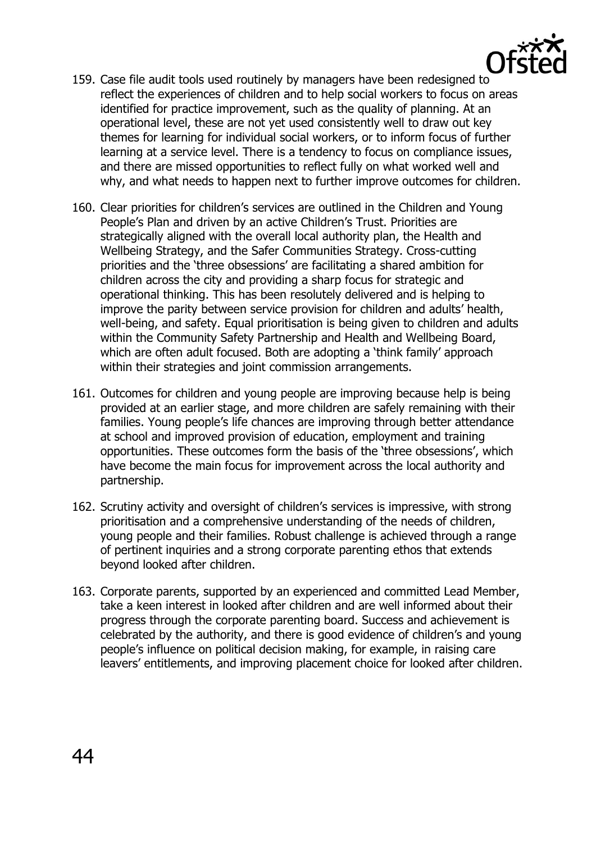

- 159. Case file audit tools used routinely by managers have been redesigned to reflect the experiences of children and to help social workers to focus on areas identified for practice improvement, such as the quality of planning. At an operational level, these are not yet used consistently well to draw out key themes for learning for individual social workers, or to inform focus of further learning at a service level. There is a tendency to focus on compliance issues, and there are missed opportunities to reflect fully on what worked well and why, and what needs to happen next to further improve outcomes for children.
- 160. Clear priorities for children's services are outlined in the Children and Young People's Plan and driven by an active Children's Trust. Priorities are strategically aligned with the overall local authority plan, the Health and Wellbeing Strategy, and the Safer Communities Strategy. Cross-cutting priorities and the 'three obsessions' are facilitating a shared ambition for children across the city and providing a sharp focus for strategic and operational thinking. This has been resolutely delivered and is helping to improve the parity between service provision for children and adults' health, well-being, and safety. Equal prioritisation is being given to children and adults within the Community Safety Partnership and Health and Wellbeing Board, which are often adult focused. Both are adopting a 'think family' approach within their strategies and joint commission arrangements.
- 161. Outcomes for children and young people are improving because help is being provided at an earlier stage, and more children are safely remaining with their families. Young people's life chances are improving through better attendance at school and improved provision of education, employment and training opportunities. These outcomes form the basis of the 'three obsessions', which have become the main focus for improvement across the local authority and partnership.
- 162. Scrutiny activity and oversight of children's services is impressive, with strong prioritisation and a comprehensive understanding of the needs of children, young people and their families. Robust challenge is achieved through a range of pertinent inquiries and a strong corporate parenting ethos that extends beyond looked after children.
- 163. Corporate parents, supported by an experienced and committed Lead Member, take a keen interest in looked after children and are well informed about their progress through the corporate parenting board. Success and achievement is celebrated by the authority, and there is good evidence of children's and young people's influence on political decision making, for example, in raising care leavers' entitlements, and improving placement choice for looked after children.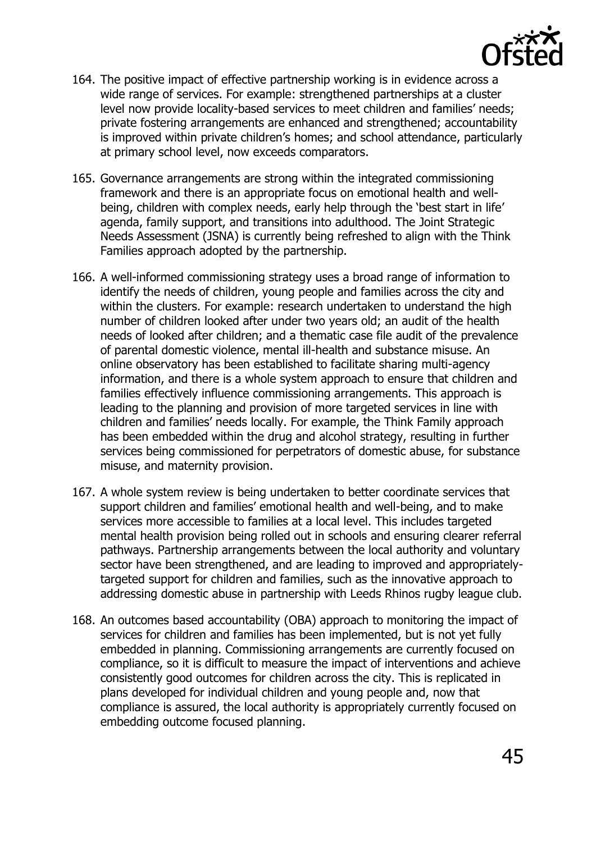

- 164. The positive impact of effective partnership working is in evidence across a wide range of services. For example: strengthened partnerships at a cluster level now provide locality-based services to meet children and families' needs; private fostering arrangements are enhanced and strengthened; accountability is improved within private children's homes; and school attendance, particularly at primary school level, now exceeds comparators.
- 165. Governance arrangements are strong within the integrated commissioning framework and there is an appropriate focus on emotional health and wellbeing, children with complex needs, early help through the 'best start in life' agenda, family support, and transitions into adulthood. The Joint Strategic Needs Assessment (JSNA) is currently being refreshed to align with the Think Families approach adopted by the partnership.
- 166. A well-informed commissioning strategy uses a broad range of information to identify the needs of children, young people and families across the city and within the clusters. For example: research undertaken to understand the high number of children looked after under two years old; an audit of the health needs of looked after children; and a thematic case file audit of the prevalence of parental domestic violence, mental ill-health and substance misuse. An online observatory has been established to facilitate sharing multi-agency information, and there is a whole system approach to ensure that children and families effectively influence commissioning arrangements. This approach is leading to the planning and provision of more targeted services in line with children and families' needs locally. For example, the Think Family approach has been embedded within the drug and alcohol strategy, resulting in further services being commissioned for perpetrators of domestic abuse, for substance misuse, and maternity provision.
- 167. A whole system review is being undertaken to better coordinate services that support children and families' emotional health and well-being, and to make services more accessible to families at a local level. This includes targeted mental health provision being rolled out in schools and ensuring clearer referral pathways. Partnership arrangements between the local authority and voluntary sector have been strengthened, and are leading to improved and appropriatelytargeted support for children and families, such as the innovative approach to addressing domestic abuse in partnership with Leeds Rhinos rugby league club.
- 168. An outcomes based accountability (OBA) approach to monitoring the impact of services for children and families has been implemented, but is not yet fully embedded in planning. Commissioning arrangements are currently focused on compliance, so it is difficult to measure the impact of interventions and achieve consistently good outcomes for children across the city. This is replicated in plans developed for individual children and young people and, now that compliance is assured, the local authority is appropriately currently focused on embedding outcome focused planning.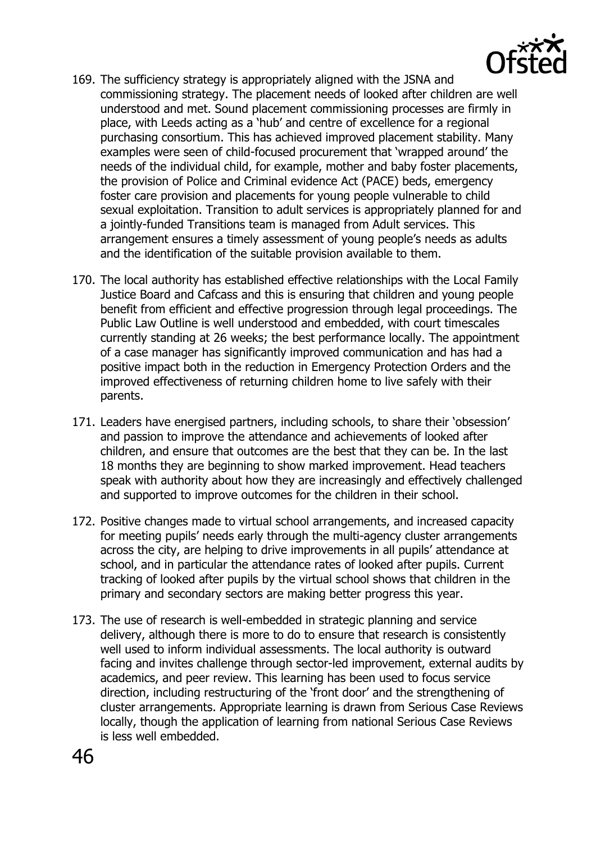

- 169. The sufficiency strategy is appropriately aligned with the JSNA and commissioning strategy. The placement needs of looked after children are well understood and met. Sound placement commissioning processes are firmly in place, with Leeds acting as a 'hub' and centre of excellence for a regional purchasing consortium. This has achieved improved placement stability. Many examples were seen of child-focused procurement that 'wrapped around' the needs of the individual child, for example, mother and baby foster placements, the provision of Police and Criminal evidence Act (PACE) beds, emergency foster care provision and placements for young people vulnerable to child sexual exploitation. Transition to adult services is appropriately planned for and a jointly-funded Transitions team is managed from Adult services. This arrangement ensures a timely assessment of young people's needs as adults and the identification of the suitable provision available to them.
- 170. The local authority has established effective relationships with the Local Family Justice Board and Cafcass and this is ensuring that children and young people benefit from efficient and effective progression through legal proceedings. The Public Law Outline is well understood and embedded, with court timescales currently standing at 26 weeks; the best performance locally. The appointment of a case manager has significantly improved communication and has had a positive impact both in the reduction in Emergency Protection Orders and the improved effectiveness of returning children home to live safely with their parents.
- 171. Leaders have energised partners, including schools, to share their 'obsession' and passion to improve the attendance and achievements of looked after children, and ensure that outcomes are the best that they can be. In the last 18 months they are beginning to show marked improvement. Head teachers speak with authority about how they are increasingly and effectively challenged and supported to improve outcomes for the children in their school.
- 172. Positive changes made to virtual school arrangements, and increased capacity for meeting pupils' needs early through the multi-agency cluster arrangements across the city, are helping to drive improvements in all pupils' attendance at school, and in particular the attendance rates of looked after pupils. Current tracking of looked after pupils by the virtual school shows that children in the primary and secondary sectors are making better progress this year.
- 173. The use of research is well-embedded in strategic planning and service delivery, although there is more to do to ensure that research is consistently well used to inform individual assessments. The local authority is outward facing and invites challenge through sector-led improvement, external audits by academics, and peer review. This learning has been used to focus service direction, including restructuring of the 'front door' and the strengthening of cluster arrangements. Appropriate learning is drawn from Serious Case Reviews locally, though the application of learning from national Serious Case Reviews is less well embedded.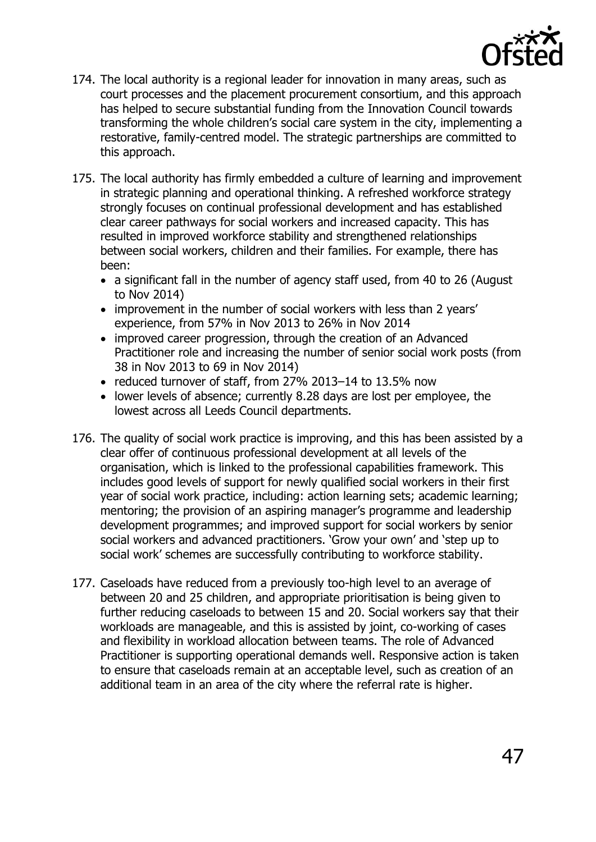

- 174. The local authority is a regional leader for innovation in many areas, such as court processes and the placement procurement consortium, and this approach has helped to secure substantial funding from the Innovation Council towards transforming the whole children's social care system in the city, implementing a restorative, family-centred model. The strategic partnerships are committed to this approach.
- 175. The local authority has firmly embedded a culture of learning and improvement in strategic planning and operational thinking. A refreshed workforce strategy strongly focuses on continual professional development and has established clear career pathways for social workers and increased capacity. This has resulted in improved workforce stability and strengthened relationships between social workers, children and their families. For example, there has been:
	- a significant fall in the number of agency staff used, from 40 to 26 (August) to Nov 2014)
	- improvement in the number of social workers with less than 2 years' experience, from 57% in Nov 2013 to 26% in Nov 2014
	- improved career progression, through the creation of an Advanced Practitioner role and increasing the number of senior social work posts (from 38 in Nov 2013 to 69 in Nov 2014)
	- reduced turnover of staff, from 27% 2013-14 to 13.5% now
	- lower levels of absence; currently 8.28 days are lost per employee, the lowest across all Leeds Council departments.
- 176. The quality of social work practice is improving, and this has been assisted by a clear offer of continuous professional development at all levels of the organisation, which is linked to the professional capabilities framework. This includes good levels of support for newly qualified social workers in their first year of social work practice, including: action learning sets; academic learning; mentoring; the provision of an aspiring manager's programme and leadership development programmes; and improved support for social workers by senior social workers and advanced practitioners. 'Grow your own' and 'step up to social work' schemes are successfully contributing to workforce stability.
- 177. Caseloads have reduced from a previously too-high level to an average of between 20 and 25 children, and appropriate prioritisation is being given to further reducing caseloads to between 15 and 20. Social workers say that their workloads are manageable, and this is assisted by joint, co-working of cases and flexibility in workload allocation between teams. The role of Advanced Practitioner is supporting operational demands well. Responsive action is taken to ensure that caseloads remain at an acceptable level, such as creation of an additional team in an area of the city where the referral rate is higher.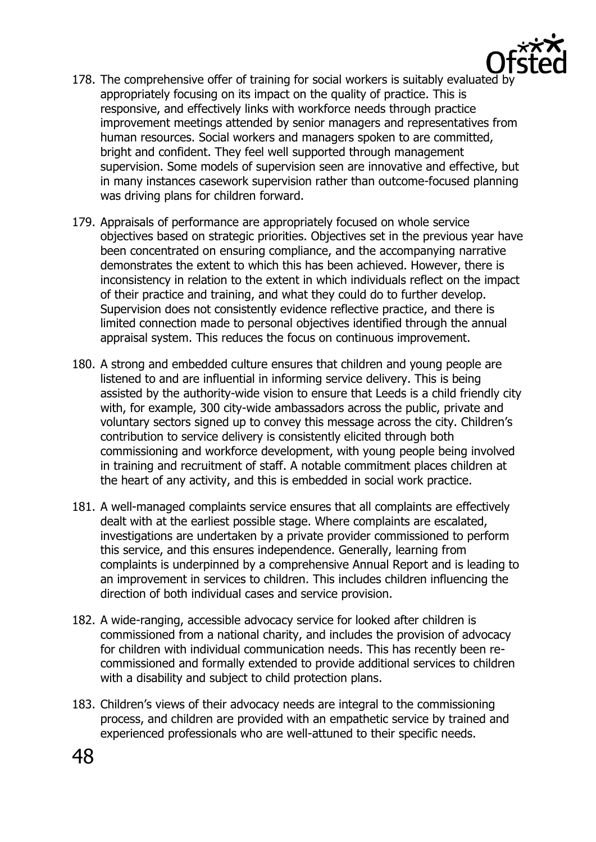

- 178. The comprehensive offer of training for social workers is suitably evaluated by appropriately focusing on its impact on the quality of practice. This is responsive, and effectively links with workforce needs through practice improvement meetings attended by senior managers and representatives from human resources. Social workers and managers spoken to are committed, bright and confident. They feel well supported through management supervision. Some models of supervision seen are innovative and effective, but in many instances casework supervision rather than outcome-focused planning was driving plans for children forward.
- 179. Appraisals of performance are appropriately focused on whole service objectives based on strategic priorities. Objectives set in the previous year have been concentrated on ensuring compliance, and the accompanying narrative demonstrates the extent to which this has been achieved. However, there is inconsistency in relation to the extent in which individuals reflect on the impact of their practice and training, and what they could do to further develop. Supervision does not consistently evidence reflective practice, and there is limited connection made to personal objectives identified through the annual appraisal system. This reduces the focus on continuous improvement.
- 180. A strong and embedded culture ensures that children and young people are listened to and are influential in informing service delivery. This is being assisted by the authority-wide vision to ensure that Leeds is a child friendly city with, for example, 300 city-wide ambassadors across the public, private and voluntary sectors signed up to convey this message across the city. Children's contribution to service delivery is consistently elicited through both commissioning and workforce development, with young people being involved in training and recruitment of staff. A notable commitment places children at the heart of any activity, and this is embedded in social work practice.
- 181. A well-managed complaints service ensures that all complaints are effectively dealt with at the earliest possible stage. Where complaints are escalated, investigations are undertaken by a private provider commissioned to perform this service, and this ensures independence. Generally, learning from complaints is underpinned by a comprehensive Annual Report and is leading to an improvement in services to children. This includes children influencing the direction of both individual cases and service provision.
- 182. A wide-ranging, accessible advocacy service for looked after children is commissioned from a national charity, and includes the provision of advocacy for children with individual communication needs. This has recently been recommissioned and formally extended to provide additional services to children with a disability and subject to child protection plans.
- 183. Children's views of their advocacy needs are integral to the commissioning process, and children are provided with an empathetic service by trained and experienced professionals who are well-attuned to their specific needs.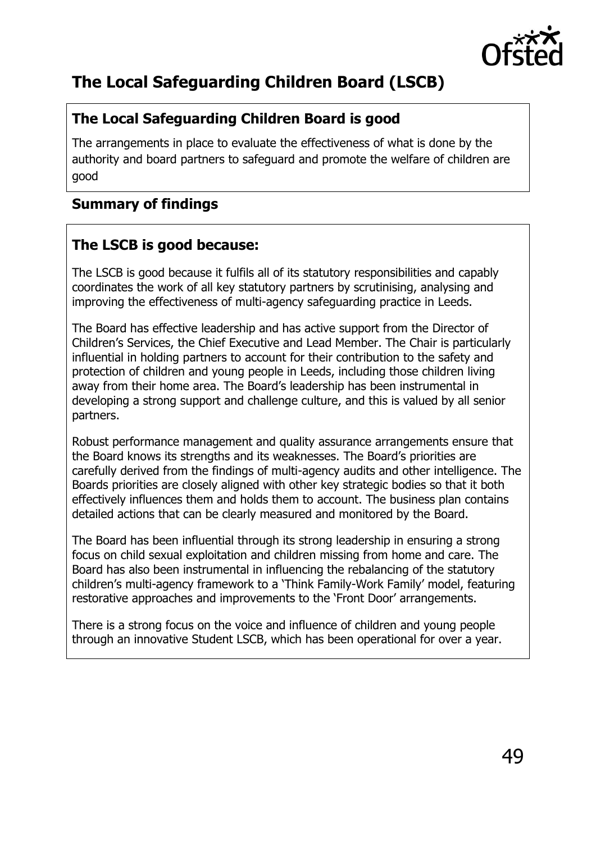

# <span id="page-48-0"></span>**The Local Safeguarding Children Board (LSCB)**

# **The Local Safeguarding Children Board is good**

The arrangements in place to evaluate the effectiveness of what is done by the authority and board partners to safeguard and promote the welfare of children are good

# <span id="page-48-1"></span>**Summary of findings**

# **The LSCB is good because:**

The LSCB is good because it fulfils all of its statutory responsibilities and capably coordinates the work of all key statutory partners by scrutinising, analysing and improving the effectiveness of multi-agency safeguarding practice in Leeds.

The Board has effective leadership and has active support from the Director of Children's Services, the Chief Executive and Lead Member. The Chair is particularly influential in holding partners to account for their contribution to the safety and protection of children and young people in Leeds, including those children living away from their home area. The Board's leadership has been instrumental in developing a strong support and challenge culture, and this is valued by all senior partners.

Robust performance management and quality assurance arrangements ensure that the Board knows its strengths and its weaknesses. The Board's priorities are carefully derived from the findings of multi-agency audits and other intelligence. The Boards priorities are closely aligned with other key strategic bodies so that it both effectively influences them and holds them to account. The business plan contains detailed actions that can be clearly measured and monitored by the Board.

The Board has been influential through its strong leadership in ensuring a strong focus on child sexual exploitation and children missing from home and care. The Board has also been instrumental in influencing the rebalancing of the statutory children's multi-agency framework to a 'Think Family-Work Family' model, featuring restorative approaches and improvements to the 'Front Door' arrangements.

There is a strong focus on the voice and influence of children and young people through an innovative Student LSCB, which has been operational for over a year.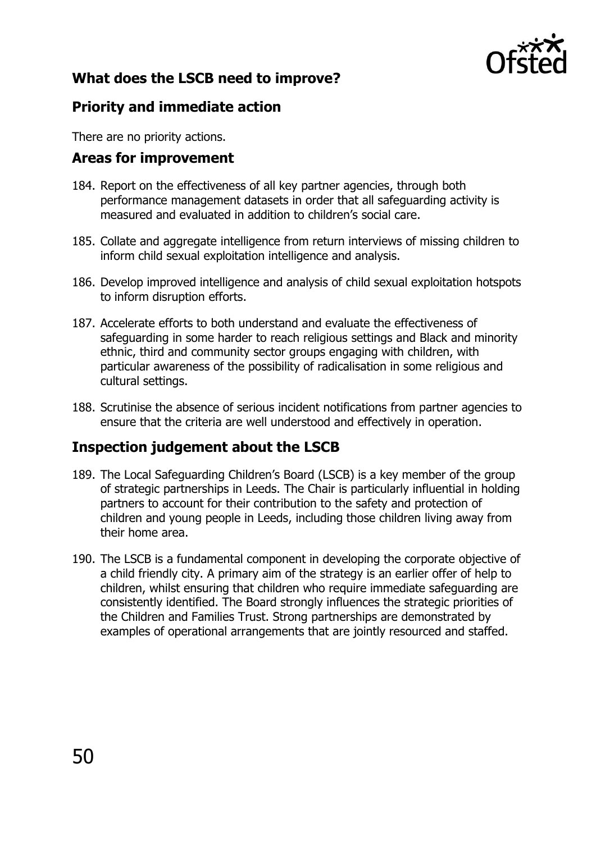

# <span id="page-49-0"></span>**What does the LSCB need to improve?**

#### **Priority and immediate action**

There are no priority actions.

#### <span id="page-49-1"></span>**Areas for improvement**

- 184. Report on the effectiveness of all key partner agencies, through both performance management datasets in order that all safeguarding activity is measured and evaluated in addition to children's social care.
- 185. Collate and aggregate intelligence from return interviews of missing children to inform child sexual exploitation intelligence and analysis.
- 186. Develop improved intelligence and analysis of child sexual exploitation hotspots to inform disruption efforts.
- 187. Accelerate efforts to both understand and evaluate the effectiveness of safeguarding in some harder to reach religious settings and Black and minority ethnic, third and community sector groups engaging with children, with particular awareness of the possibility of radicalisation in some religious and cultural settings.
- 188. Scrutinise the absence of serious incident notifications from partner agencies to ensure that the criteria are well understood and effectively in operation.

## <span id="page-49-2"></span>**Inspection judgement about the LSCB**

- 189. The Local Safeguarding Children's Board (LSCB) is a key member of the group of strategic partnerships in Leeds. The Chair is particularly influential in holding partners to account for their contribution to the safety and protection of children and young people in Leeds, including those children living away from their home area.
- 190. The LSCB is a fundamental component in developing the corporate objective of a child friendly city. A primary aim of the strategy is an earlier offer of help to children, whilst ensuring that children who require immediate safeguarding are consistently identified. The Board strongly influences the strategic priorities of the Children and Families Trust. Strong partnerships are demonstrated by examples of operational arrangements that are jointly resourced and staffed.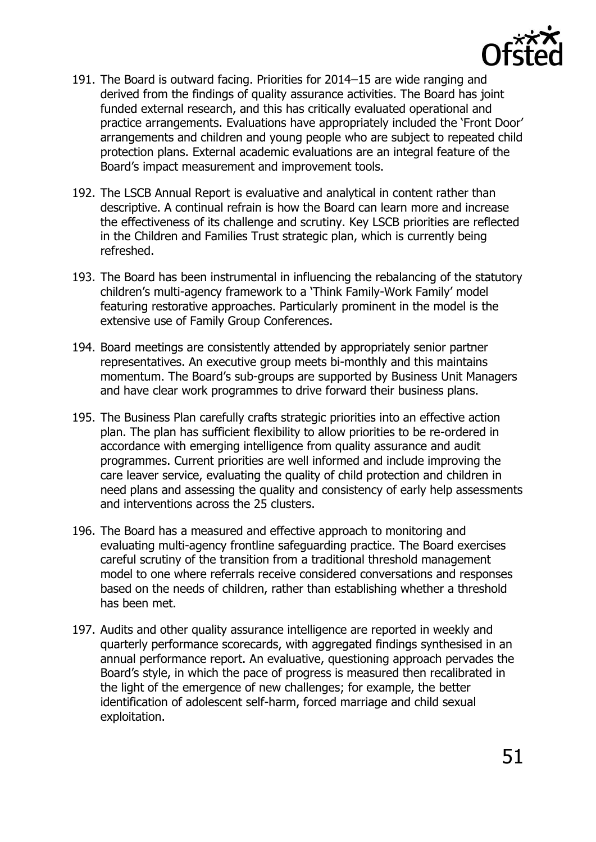

- 191. The Board is outward facing. Priorities for 2014–15 are wide ranging and derived from the findings of quality assurance activities. The Board has joint funded external research, and this has critically evaluated operational and practice arrangements. Evaluations have appropriately included the 'Front Door' arrangements and children and young people who are subject to repeated child protection plans. External academic evaluations are an integral feature of the Board's impact measurement and improvement tools.
- 192. The LSCB Annual Report is evaluative and analytical in content rather than descriptive. A continual refrain is how the Board can learn more and increase the effectiveness of its challenge and scrutiny. Key LSCB priorities are reflected in the Children and Families Trust strategic plan, which is currently being refreshed.
- 193. The Board has been instrumental in influencing the rebalancing of the statutory children's multi-agency framework to a 'Think Family-Work Family' model featuring restorative approaches. Particularly prominent in the model is the extensive use of Family Group Conferences.
- 194. Board meetings are consistently attended by appropriately senior partner representatives. An executive group meets bi-monthly and this maintains momentum. The Board's sub-groups are supported by Business Unit Managers and have clear work programmes to drive forward their business plans.
- 195. The Business Plan carefully crafts strategic priorities into an effective action plan. The plan has sufficient flexibility to allow priorities to be re-ordered in accordance with emerging intelligence from quality assurance and audit programmes. Current priorities are well informed and include improving the care leaver service, evaluating the quality of child protection and children in need plans and assessing the quality and consistency of early help assessments and interventions across the 25 clusters.
- 196. The Board has a measured and effective approach to monitoring and evaluating multi-agency frontline safeguarding practice. The Board exercises careful scrutiny of the transition from a traditional threshold management model to one where referrals receive considered conversations and responses based on the needs of children, rather than establishing whether a threshold has been met.
- 197. Audits and other quality assurance intelligence are reported in weekly and quarterly performance scorecards, with aggregated findings synthesised in an annual performance report. An evaluative, questioning approach pervades the Board's style, in which the pace of progress is measured then recalibrated in the light of the emergence of new challenges; for example, the better identification of adolescent self-harm, forced marriage and child sexual exploitation.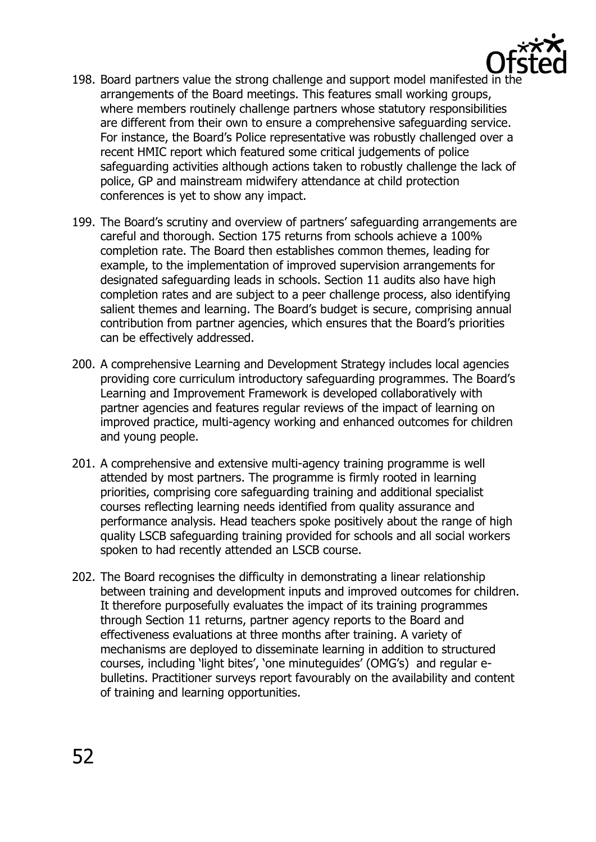

- 198. Board partners value the strong challenge and support model manifested in the arrangements of the Board meetings. This features small working groups, where members routinely challenge partners whose statutory responsibilities are different from their own to ensure a comprehensive safeguarding service. For instance, the Board's Police representative was robustly challenged over a recent HMIC report which featured some critical judgements of police safeguarding activities although actions taken to robustly challenge the lack of police, GP and mainstream midwifery attendance at child protection conferences is yet to show any impact.
- 199. The Board's scrutiny and overview of partners' safeguarding arrangements are careful and thorough. Section 175 returns from schools achieve a 100% completion rate. The Board then establishes common themes, leading for example, to the implementation of improved supervision arrangements for designated safeguarding leads in schools. Section 11 audits also have high completion rates and are subject to a peer challenge process, also identifying salient themes and learning. The Board's budget is secure, comprising annual contribution from partner agencies, which ensures that the Board's priorities can be effectively addressed.
- 200. A comprehensive Learning and Development Strategy includes local agencies providing core curriculum introductory safeguarding programmes. The Board's Learning and Improvement Framework is developed collaboratively with partner agencies and features regular reviews of the impact of learning on improved practice, multi-agency working and enhanced outcomes for children and young people.
- 201. A comprehensive and extensive multi-agency training programme is well attended by most partners. The programme is firmly rooted in learning priorities, comprising core safeguarding training and additional specialist courses reflecting learning needs identified from quality assurance and performance analysis. Head teachers spoke positively about the range of high quality LSCB safeguarding training provided for schools and all social workers spoken to had recently attended an LSCB course.
- 202. The Board recognises the difficulty in demonstrating a linear relationship between training and development inputs and improved outcomes for children. It therefore purposefully evaluates the impact of its training programmes through Section 11 returns, partner agency reports to the Board and effectiveness evaluations at three months after training. A variety of mechanisms are deployed to disseminate learning in addition to structured courses, including 'light bites', 'one minuteguides' (OMG's) and regular ebulletins. Practitioner surveys report favourably on the availability and content of training and learning opportunities.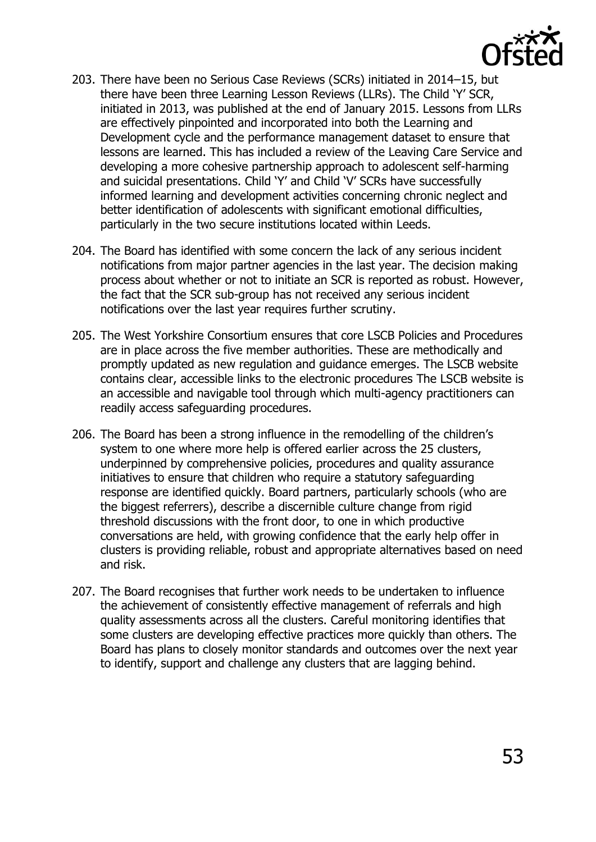

- 203. There have been no Serious Case Reviews (SCRs) initiated in 2014–15, but there have been three Learning Lesson Reviews (LLRs). The Child 'Y' SCR, initiated in 2013, was published at the end of January 2015. Lessons from LLRs are effectively pinpointed and incorporated into both the Learning and Development cycle and the performance management dataset to ensure that lessons are learned. This has included a review of the Leaving Care Service and developing a more cohesive partnership approach to adolescent self-harming and suicidal presentations. Child 'Y' and Child 'V' SCRs have successfully informed learning and development activities concerning chronic neglect and better identification of adolescents with significant emotional difficulties, particularly in the two secure institutions located within Leeds.
- 204. The Board has identified with some concern the lack of any serious incident notifications from major partner agencies in the last year. The decision making process about whether or not to initiate an SCR is reported as robust. However, the fact that the SCR sub-group has not received any serious incident notifications over the last year requires further scrutiny.
- 205. The West Yorkshire Consortium ensures that core LSCB Policies and Procedures are in place across the five member authorities. These are methodically and promptly updated as new regulation and guidance emerges. The LSCB website contains clear, accessible links to the electronic procedures The LSCB website is an accessible and navigable tool through which multi-agency practitioners can readily access safeguarding procedures.
- 206. The Board has been a strong influence in the remodelling of the children's system to one where more help is offered earlier across the 25 clusters, underpinned by comprehensive policies, procedures and quality assurance initiatives to ensure that children who require a statutory safeguarding response are identified quickly. Board partners, particularly schools (who are the biggest referrers), describe a discernible culture change from rigid threshold discussions with the front door, to one in which productive conversations are held, with growing confidence that the early help offer in clusters is providing reliable, robust and appropriate alternatives based on need and risk.
- 207. The Board recognises that further work needs to be undertaken to influence the achievement of consistently effective management of referrals and high quality assessments across all the clusters. Careful monitoring identifies that some clusters are developing effective practices more quickly than others. The Board has plans to closely monitor standards and outcomes over the next year to identify, support and challenge any clusters that are lagging behind.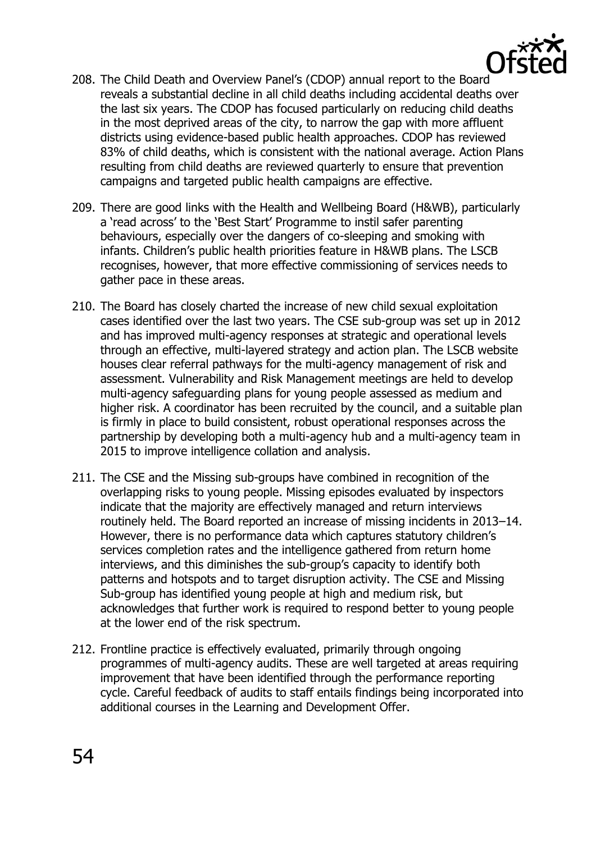

- 208. The Child Death and Overview Panel's (CDOP) annual report to the Board reveals a substantial decline in all child deaths including accidental deaths over the last six years. The CDOP has focused particularly on reducing child deaths in the most deprived areas of the city, to narrow the gap with more affluent districts using evidence-based public health approaches. CDOP has reviewed 83% of child deaths, which is consistent with the national average. Action Plans resulting from child deaths are reviewed quarterly to ensure that prevention campaigns and targeted public health campaigns are effective.
- 209. There are good links with the Health and Wellbeing Board (H&WB), particularly a 'read across' to the 'Best Start' Programme to instil safer parenting behaviours, especially over the dangers of co-sleeping and smoking with infants. Children's public health priorities feature in H&WB plans. The LSCB recognises, however, that more effective commissioning of services needs to gather pace in these areas.
- 210. The Board has closely charted the increase of new child sexual exploitation cases identified over the last two years. The CSE sub-group was set up in 2012 and has improved multi-agency responses at strategic and operational levels through an effective, multi-layered strategy and action plan. The LSCB website houses clear referral pathways for the multi-agency management of risk and assessment. Vulnerability and Risk Management meetings are held to develop multi-agency safeguarding plans for young people assessed as medium and higher risk. A coordinator has been recruited by the council, and a suitable plan is firmly in place to build consistent, robust operational responses across the partnership by developing both a multi-agency hub and a multi-agency team in 2015 to improve intelligence collation and analysis.
- 211. The CSE and the Missing sub-groups have combined in recognition of the overlapping risks to young people. Missing episodes evaluated by inspectors indicate that the majority are effectively managed and return interviews routinely held. The Board reported an increase of missing incidents in 2013–14. However, there is no performance data which captures statutory children's services completion rates and the intelligence gathered from return home interviews, and this diminishes the sub-group's capacity to identify both patterns and hotspots and to target disruption activity. The CSE and Missing Sub-group has identified young people at high and medium risk, but acknowledges that further work is required to respond better to young people at the lower end of the risk spectrum.
- 212. Frontline practice is effectively evaluated, primarily through ongoing programmes of multi-agency audits. These are well targeted at areas requiring improvement that have been identified through the performance reporting cycle. Careful feedback of audits to staff entails findings being incorporated into additional courses in the Learning and Development Offer.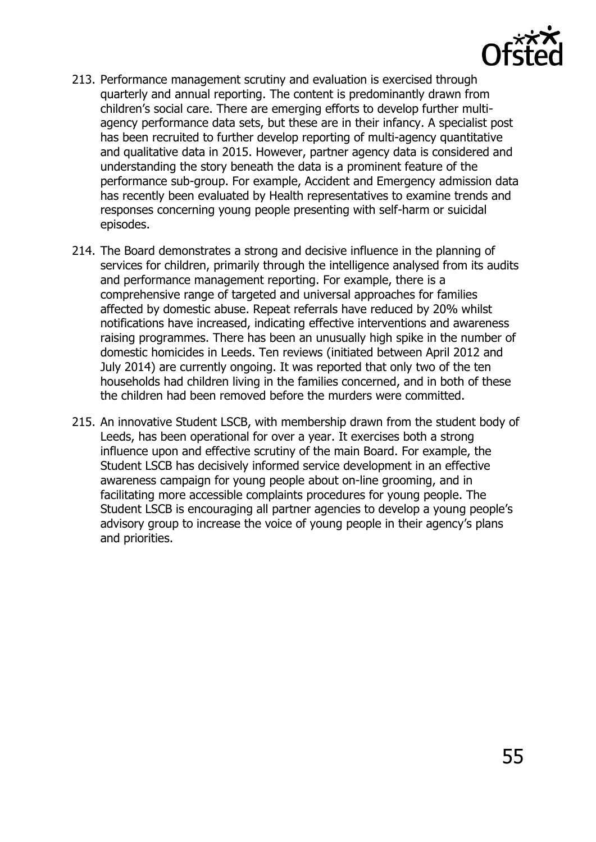

- 213. Performance management scrutiny and evaluation is exercised through quarterly and annual reporting. The content is predominantly drawn from children's social care. There are emerging efforts to develop further multiagency performance data sets, but these are in their infancy. A specialist post has been recruited to further develop reporting of multi-agency quantitative and qualitative data in 2015. However, partner agency data is considered and understanding the story beneath the data is a prominent feature of the performance sub-group. For example, Accident and Emergency admission data has recently been evaluated by Health representatives to examine trends and responses concerning young people presenting with self-harm or suicidal episodes.
- 214. The Board demonstrates a strong and decisive influence in the planning of services for children, primarily through the intelligence analysed from its audits and performance management reporting. For example, there is a comprehensive range of targeted and universal approaches for families affected by domestic abuse. Repeat referrals have reduced by 20% whilst notifications have increased, indicating effective interventions and awareness raising programmes. There has been an unusually high spike in the number of domestic homicides in Leeds. Ten reviews (initiated between April 2012 and July 2014) are currently ongoing. It was reported that only two of the ten households had children living in the families concerned, and in both of these the children had been removed before the murders were committed.
- 215. An innovative Student LSCB, with membership drawn from the student body of Leeds, has been operational for over a year. It exercises both a strong influence upon and effective scrutiny of the main Board. For example, the Student LSCB has decisively informed service development in an effective awareness campaign for young people about on-line grooming, and in facilitating more accessible complaints procedures for young people. The Student LSCB is encouraging all partner agencies to develop a young people's advisory group to increase the voice of young people in their agency's plans and priorities.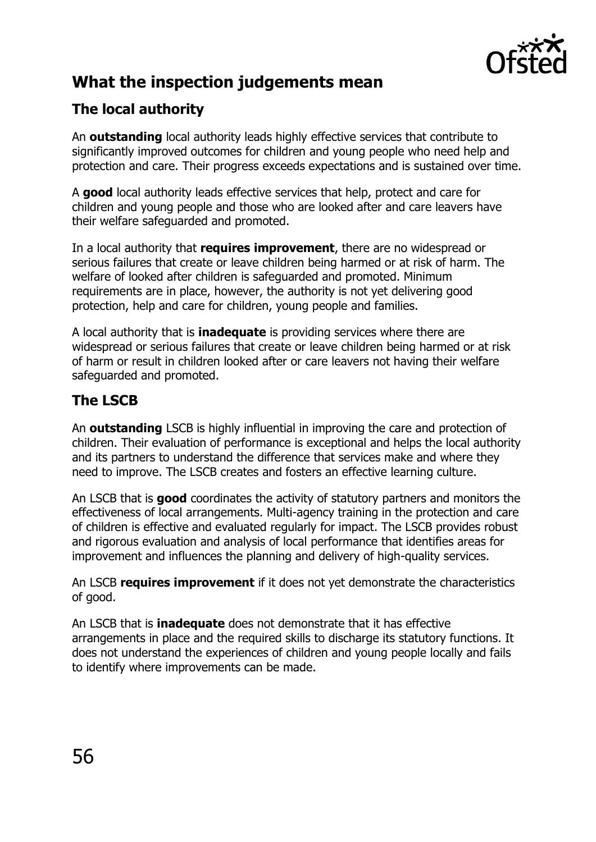

# <span id="page-55-0"></span>**What the inspection judgements mean**

# <span id="page-55-1"></span>**The local authority**

An **outstanding** local authority leads highly effective services that contribute to significantly improved outcomes for children and young people who need help and protection and care. Their progress exceeds expectations and is sustained over time.

A **good** local authority leads effective services that help, protect and care for children and young people and those who are looked after and care leavers have their welfare safeguarded and promoted.

In a local authority that **requires improvement**, there are no widespread or serious failures that create or leave children being harmed or at risk of harm. The welfare of looked after children is safeguarded and promoted. Minimum requirements are in place, however, the authority is not yet delivering good protection, help and care for children, young people and families.

A local authority that is **inadequate** is providing services where there are widespread or serious failures that create or leave children being harmed or at risk of harm or result in children looked after or care leavers not having their welfare safeguarded and promoted.

# <span id="page-55-2"></span>**The LSCB**

An **outstanding** LSCB is highly influential in improving the care and protection of children. Their evaluation of performance is exceptional and helps the local authority and its partners to understand the difference that services make and where they need to improve. The LSCB creates and fosters an effective learning culture.

An LSCB that is **good** coordinates the activity of statutory partners and monitors the effectiveness of local arrangements. Multi-agency training in the protection and care of children is effective and evaluated regularly for impact. The LSCB provides robust and rigorous evaluation and analysis of local performance that identifies areas for improvement and influences the planning and delivery of high-quality services.

An LSCB **requires improvement** if it does not yet demonstrate the characteristics of good.

An LSCB that is **inadequate** does not demonstrate that it has effective arrangements in place and the required skills to discharge its statutory functions. It does not understand the experiences of children and young people locally and fails to identify where improvements can be made.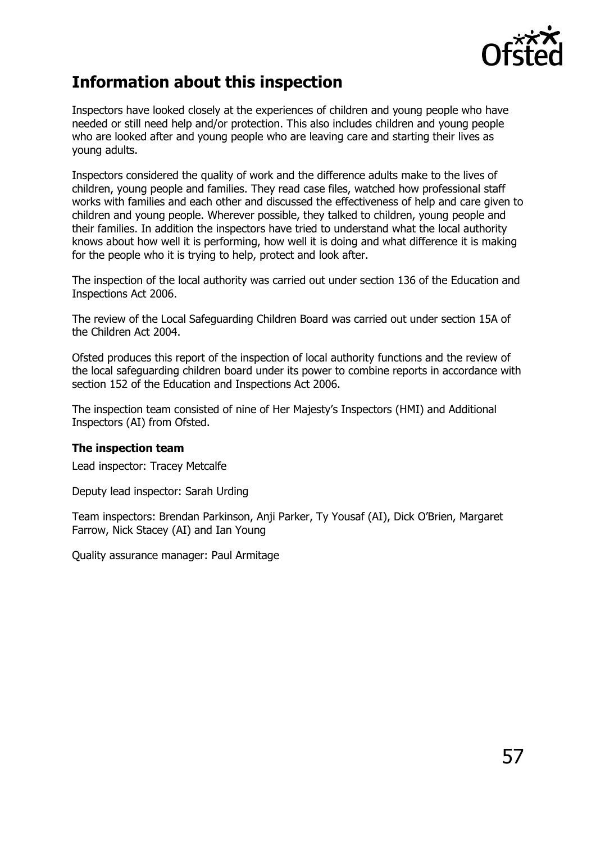

# <span id="page-56-0"></span>**Information about this inspection**

Inspectors have looked closely at the experiences of children and young people who have needed or still need help and/or protection. This also includes children and young people who are looked after and young people who are leaving care and starting their lives as young adults.

Inspectors considered the quality of work and the difference adults make to the lives of children, young people and families. They read case files, watched how professional staff works with families and each other and discussed the effectiveness of help and care given to children and young people. Wherever possible, they talked to children, young people and their families. In addition the inspectors have tried to understand what the local authority knows about how well it is performing, how well it is doing and what difference it is making for the people who it is trying to help, protect and look after.

The inspection of the local authority was carried out under section 136 of the Education and Inspections Act 2006.

The review of the Local Safeguarding Children Board was carried out under section 15A of the Children Act 2004.

Ofsted produces this report of the inspection of local authority functions and the review of the local safeguarding children board under its power to combine reports in accordance with section 152 of the Education and Inspections Act 2006.

The inspection team consisted of nine of Her Majesty's Inspectors (HMI) and Additional Inspectors (AI) from Ofsted.

#### **The inspection team**

Lead inspector: Tracey Metcalfe

Deputy lead inspector: Sarah Urding

Team inspectors: Brendan Parkinson, Anji Parker, Ty Yousaf (AI), Dick O'Brien, Margaret Farrow, Nick Stacey (AI) and Ian Young

Quality assurance manager: Paul Armitage